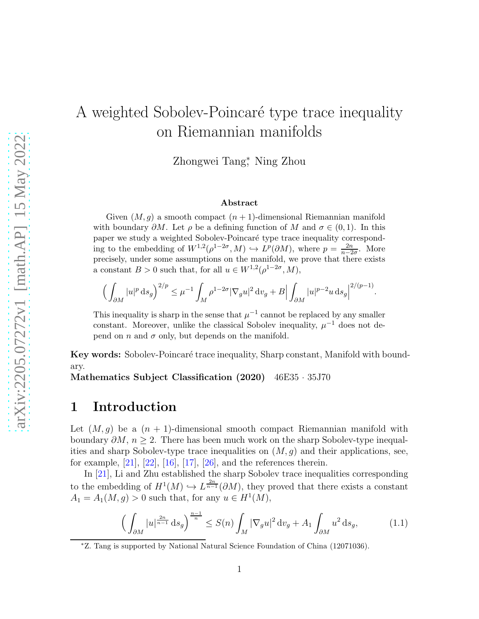# A weighted Sobolev-Poincaré type trace inequality on Riemannian manifolds

Zhongwei Tang<sup>∗</sup> , Ning Zhou

#### Abstract

Given  $(M, g)$  a smooth compact  $(n + 1)$ -dimensional Riemannian manifold with boundary  $\partial M$ . Let  $\rho$  be a defining function of M and  $\sigma \in (0,1)$ . In this paper we study a weighted Sobolev-Poincaré type trace inequality corresponding to the embedding of  $W^{1,2}(\rho^{1-2\sigma}, M) \hookrightarrow L^p(\partial M)$ , where  $p = \frac{2n}{n-2}$  $\frac{2n}{n-2\sigma}$ . More precisely, under some assumptions on the manifold, we prove that there exists a constant  $B > 0$  such that, for all  $u \in W^{1,2}(\rho^{1-2\sigma}, M)$ ,

$$
\Big(\int_{\partial M}|u|^p\,\mathrm{d} s_g\Big)^{2/p}\leq \mu^{-1}\int_M\rho^{1-2\sigma}|\nabla_g u|^2\,\mathrm{d} v_g+B\Big|\int_{\partial M}|u|^{p-2}u\,\mathrm{d} s_g\Big|^{2/(p-1)}.
$$

This inequality is sharp in the sense that  $\mu^{-1}$  cannot be replaced by any smaller constant. Moreover, unlike the classical Sobolev inequality,  $\mu^{-1}$  does not depend on n and  $\sigma$  only, but depends on the manifold.

**Key words:** Sobolev-Poincaré trace inequality, Sharp constant, Manifold with boundary.

Mathematics Subject Classification (2020) 46E35 · 35J70

#### 1 Introduction

Let  $(M, g)$  be a  $(n + 1)$ -dimensional smooth compact Riemannian manifold with boundary  $\partial M$ ,  $n \geq 2$ . There has been much work on the sharp Sobolev-type inequalities and sharp Sobolev-type trace inequalities on  $(M, g)$  and their applications, see, for example,  $[21]$ ,  $[22]$ ,  $[16]$ ,  $[17]$ ,  $[26]$ , and the references therein.

In [\[21\]](#page-27-0), Li and Zhu established the sharp Sobolev trace inequalities corresponding to the embedding of  $H^1(M) \hookrightarrow L^{\frac{2n}{n-1}}(\partial M)$ , they proved that there exists a constant  $A_1 = A_1(M, g) > 0$  such that, for any  $u \in H^1(M)$ ,

<span id="page-0-0"></span>
$$
\left(\int_{\partial M} |u|^{\frac{2n}{n-1}} \, \mathrm{d} s_g\right)^{\frac{n-1}{n}} \le S(n) \int_M |\nabla_g u|^2 \, \mathrm{d} v_g + A_1 \int_{\partial M} u^2 \, \mathrm{d} s_g,\tag{1.1}
$$

<sup>∗</sup>Z. Tang is supported by National Natural Science Foundation of China (12071036).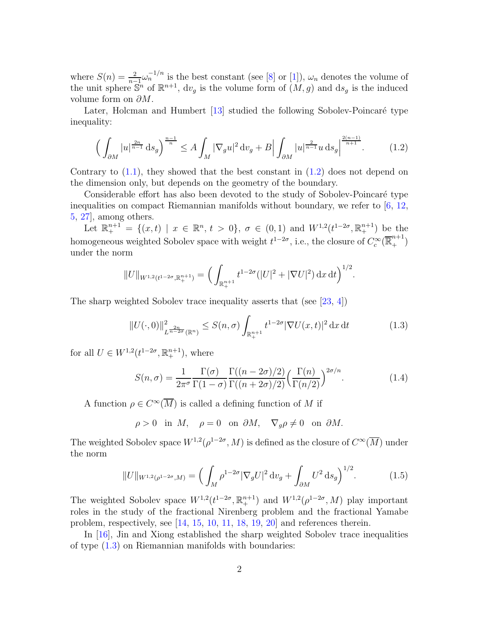where  $S(n) = \frac{2}{n-1}\omega_n^{-1/n}$  is the best constant (see [\[8\]](#page-26-0) or [\[1\]](#page-26-1)),  $\omega_n$  denotes the volume of the unit sphere  $\mathbb{S}^n$  of  $\mathbb{R}^{n+1}$ ,  $dv_g$  is the volume form of  $(M, g)$  and  $ds_g$  is the induced volume form on  $\partial M$ .

Later, Holcman and Humbert  $[13]$  studied the following Sobolev-Poincaré type inequality:

<span id="page-1-0"></span>
$$
\left(\int_{\partial M} |u|^{\frac{2n}{n-1}} \, \mathrm{d} s_g\right)^{\frac{n-1}{n}} \le A \int_M |\nabla_g u|^2 \, \mathrm{d} v_g + B \Big| \int_{\partial M} |u|^{\frac{2}{n-1}} u \, \mathrm{d} s_g \Big|^{\frac{2(n-1)}{n+1}}.\tag{1.2}
$$

Contrary to  $(1.1)$ , they showed that the best constant in  $(1.2)$  does not depend on the dimension only, but depends on the geometry of the boundary.

Considerable effort has also been devoted to the study of Sobolev-Poincaré type inequalities on compact Riemannian manifolds without boundary, we refer to  $[6, 12, 12]$  $[6, 12, 12]$  $[6, 12, 12]$ [5,](#page-26-5) [27\]](#page-27-5), among others.

Let  $\mathbb{R}^{n+1}_+ = \{(x,t) \mid x \in \mathbb{R}^n, t > 0\}, \sigma \in (0,1)$  and  $W^{1,2}(t^{1-2\sigma}, \mathbb{R}^{n+1}_+)$  be the homogeneous weighted Sobolev space with weight  $t^{1-2\sigma}$ , i.e., the closure of  $C_c^{\infty}(\overline{\mathbb{R}}^{n+1}_+)$ under the norm

$$
||U||_{W^{1,2}(t^{1-2\sigma}, \mathbb{R}^{n+1}_+)} = \Big(\int_{\mathbb{R}^{n+1}_+} t^{1-2\sigma}(|U|^2 + |\nabla U|^2) \,dx \,dt\Big)^{1/2}.
$$

The sharp weighted Sobolev trace inequality asserts that (see [\[23,](#page-27-6) [4\]](#page-26-6))

<span id="page-1-1"></span>
$$
||U(\cdot,0)||_{L^{\frac{2n}{n-2\sigma}}(\mathbb{R}^n)}^2 \le S(n,\sigma) \int_{\mathbb{R}^{n+1}_+} t^{1-2\sigma} |\nabla U(x,t)|^2 \, \mathrm{d}x \, \mathrm{d}t \tag{1.3}
$$

for all  $U \in W^{1,2}(t^{1-2\sigma}, \mathbb{R}^{n+1}_+)$ , where

<span id="page-1-2"></span>
$$
S(n,\sigma) = \frac{1}{2\pi^{\sigma}} \frac{\Gamma(\sigma)}{\Gamma(1-\sigma)} \frac{\Gamma((n-2\sigma)/2)}{\Gamma((n+2\sigma)/2)} \left(\frac{\Gamma(n)}{\Gamma(n/2)}\right)^{2\sigma/n}.
$$
 (1.4)

A function  $\rho \in C^{\infty}(\overline{M})$  is called a defining function of M if

$$
\rho > 0 \quad \text{in} \ M, \quad \rho = 0 \quad \text{on} \ \partial M, \quad \nabla_g \rho \neq 0 \quad \text{on} \ \partial M.
$$

The weighted Sobolev space  $W^{1,2}(\rho^{1-2\sigma}, M)$  is defined as the closure of  $C^{\infty}(\overline{M})$  under the norm

<span id="page-1-3"></span>
$$
||U||_{W^{1,2}(\rho^{1-2\sigma},M)} = \left(\int_M \rho^{1-2\sigma} |\nabla_g U|^2 dv_g + \int_{\partial M} U^2 ds_g\right)^{1/2}.
$$
 (1.5)

The weighted Sobolev space  $W^{1,2}(t^{1-2\sigma}, \mathbb{R}^{n+1}_+)$  and  $W^{1,2}(\rho^{1-2\sigma}, M)$  play important roles in the study of the fractional Nirenberg problem and the fractional Yamabe problem, respectively, see [\[14,](#page-26-7) [15,](#page-26-8) [10,](#page-26-9) [11,](#page-26-10) [18,](#page-27-7) [19,](#page-27-8) [20\]](#page-27-9) and references therein.

In [\[16\]](#page-27-2), Jin and Xiong established the sharp weighted Sobolev trace inequalities of type [\(1.3\)](#page-1-1) on Riemannian manifolds with boundaries: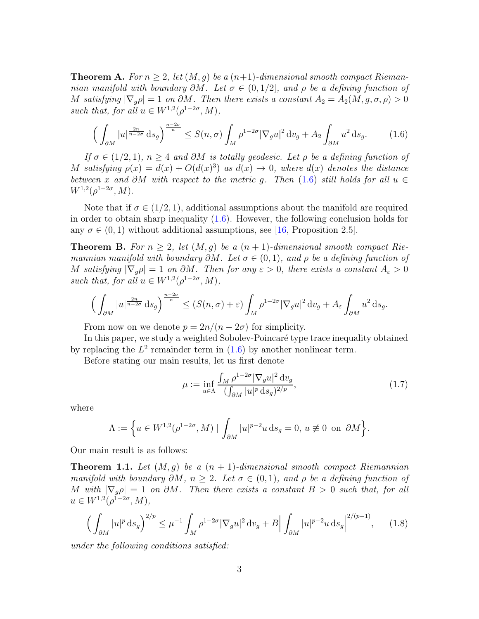**Theorem A.** *For*  $n \geq 2$ , *let*  $(M, g)$  *be a*  $(n+1)$ *-dimensional smooth compact Riemannian manifold with boundary*  $\partial M$ *. Let*  $\sigma \in (0, 1/2]$ *, and*  $\rho$  *be a defining function of* M satisfying  $|\nabla_q \rho| = 1$  *on*  $\partial M$ . Then there exists a constant  $A_2 = A_2(M, g, \sigma, \rho) > 0$ such that, for all  $u \in W^{1,2}(\rho^{1-2\sigma}, M)$ ,

<span id="page-2-0"></span>
$$
\left(\int_{\partial M} |u|^{\frac{2n}{n-2\sigma}} ds_g\right)^{\frac{n-2\sigma}{n}} \leq S(n,\sigma) \int_M \rho^{1-2\sigma} |\nabla_g u|^2 dv_g + A_2 \int_{\partial M} u^2 ds_g. \tag{1.6}
$$

*If*  $\sigma \in (1/2, 1)$ *,*  $n \geq 4$  *and* ∂*M is totally geodesic. Let*  $\rho$  *be a defining function of* M satisfying  $\rho(x) = d(x) + O(d(x)^3)$  as  $d(x) \to 0$ , where  $d(x)$  denotes the distance *between* x and  $\partial M$  with respect to the metric q. Then [\(1.6\)](#page-2-0) still holds for all  $u \in$  $W^{1,2}(\rho^{1-2\sigma}, M)$ .

Note that if  $\sigma \in (1/2, 1)$ , additional assumptions about the manifold are required in order to obtain sharp inequality [\(1.6\)](#page-2-0). However, the following conclusion holds for any  $\sigma \in (0, 1)$  without additional assumptions, see [\[16,](#page-27-2) Proposition 2.5].

**Theorem B.** For  $n \geq 2$ , let  $(M, g)$  be a  $(n + 1)$ -dimensional smooth compact Rie*mannian manifold with boundary* ∂M*. Let* σ ∈ (0, 1)*, and* ρ *be a defining function of* M satisfying  $|\nabla_q \rho| = 1$  *on*  $\partial M$ *. Then for any*  $\varepsilon > 0$ *, there exists a constant*  $A_{\varepsilon} > 0$ such that, for all  $u \in W^{1,2}(\rho^{1-2\sigma}, M)$ ,

$$
\Big(\int_{\partial M}|u|^{\frac{2n}{n-2\sigma}}\,\mathrm{d} s_g\Big)^{\frac{n-2\sigma}{n}}\leq \big(S(n,\sigma)+\varepsilon\big)\int_{M}\rho^{1-2\sigma}|\nabla_g u|^2\,\mathrm{d} v_g+A_\varepsilon\int_{\partial M}u^2\,\mathrm{d} s_g.
$$

From now on we denote  $p = 2n/(n-2\sigma)$  for simplicity.

In this paper, we study a weighted Sobolev-Poincaré type trace inequality obtained by replacing the  $L^2$  remainder term in  $(1.6)$  by another nonlinear term.

Before stating our main results, let us first denote

<span id="page-2-3"></span>
$$
\mu := \inf_{u \in \Lambda} \frac{\int_M \rho^{1-2\sigma} |\nabla_g u|^2 \, dv_g}{(\int_{\partial M} |u|^p \, ds_g)^{2/p}},\tag{1.7}
$$

where

$$
\Lambda := \left\{ u \in W^{1,2}(\rho^{1-2\sigma}, M) \mid \int_{\partial M} |u|^{p-2}u \, \mathrm{d} s_g = 0, u \not\equiv 0 \text{ on } \partial M \right\}.
$$

Our main result is as follows:

<span id="page-2-1"></span>Theorem 1.1. *Let* (M, g) *be a* (n + 1)*-dimensional smooth compact Riemannian manifold with boundary*  $\partial M$ ,  $n \geq 2$ *. Let*  $\sigma \in (0,1)$ *, and*  $\rho$  *be a defining function of* M with  $|\nabla_q \rho| = 1$  *on*  $\partial M$ . Then there exists a constant  $B > 0$  such that, for all  $u \in W^{1,2}(\rho^{1-2\sigma}, M),$ 

<span id="page-2-2"></span>
$$
\left(\int_{\partial M} |u|^p \, ds_g\right)^{2/p} \le \mu^{-1} \int_M \rho^{1-2\sigma} |\nabla_g u|^2 \, dv_g + B \Big| \int_{\partial M} |u|^{p-2} u \, ds_g \Big|^{2/(p-1)},\tag{1.8}
$$

*under the following conditions satisfied:*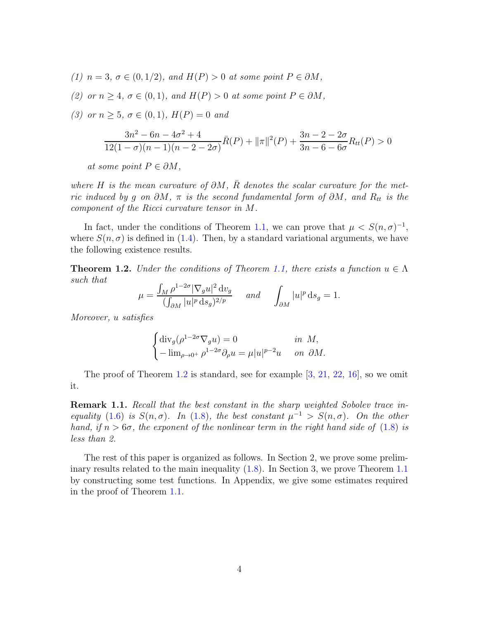*(1)*  $n = 3$ ,  $\sigma \in (0, 1/2)$ *, and*  $H(P) > 0$  *at some point*  $P ∈ ∂M$ *, (2)* or n > 4, σ ∈ (0, 1), and  $H(P) > 0$  at some point  $P ∈ ∂M$ . *(3)* or  $n \geq 5$ ,  $\sigma \in (0,1)$ ,  $H(P) = 0$  and  $3n^2 - 6n - 4\sigma^2 + 4$  $12(1 - \sigma)(n - 1)(n - 2 - 2\sigma)$  $\bar{R}(P) + ||\pi||^2(P) + \frac{3n-2-2\sigma}{2}$  $\frac{3n-2}{3n-6-6\sigma}R_{tt}(P) > 0$ 

*at some point*  $P \in \partial M$ ,

*where*  $H$  *is the mean curvature of*  $\partial M$ *,*  $\overline{R}$  *denotes the scalar curvature for the metric induced by* g *on*  $\partial M$ ,  $\pi$  *is the second fundamental form of*  $\partial M$ *, and*  $R_{tt}$  *is the component of the Ricci curvature tensor in* M*.*

In fact, under the conditions of Theorem [1.1,](#page-2-1) we can prove that  $\mu < S(n, \sigma)^{-1}$ , where  $S(n, \sigma)$  is defined in [\(1.4\)](#page-1-2). Then, by a standard variational arguments, we have the following existence results.

<span id="page-3-0"></span>**Theorem 1.2.** *Under the conditions of Theorem [1.1,](#page-2-1) there exists a function*  $u \in \Lambda$ *such that*

$$
\mu = \frac{\int_M \rho^{1-2\sigma} |\nabla_g u|^2 \, \mathrm{d} v_g}{(\int_{\partial M} |u|^p \, \mathrm{d} s_g)^{2/p}} \quad \text{ and } \quad \int_{\partial M} |u|^p \, \mathrm{d} s_g = 1.
$$

*Moreover,* u *satisfies*

$$
\begin{cases} \text{div}_g(\rho^{1-2\sigma}\nabla_g u)=0 \qquad &\text{in }M,\\ -\lim_{\rho\to 0^+} \rho^{1-2\sigma}\partial_\rho u=\mu|u|^{p-2}u \quad &\text{on }\partial M. \end{cases}
$$

The proof of Theorem [1.2](#page-3-0) is standard, see for example [\[3,](#page-26-11) [21,](#page-27-0) [22,](#page-27-1) [16\]](#page-27-2), so we omit it.

Remark 1.1. *Recall that the best constant in the sharp weighted Sobolev trace inequality* [\(1.6\)](#page-2-0) *is*  $S(n, \sigma)$ *. In* [\(1.8\)](#page-2-2)*, the best constant*  $\mu^{-1} > S(n, \sigma)$ *. On the other hand, if*  $n > 6\sigma$ *, the exponent of the nonlinear term in the right hand side of* [\(1.8\)](#page-2-2) *is less than 2.*

The rest of this paper is organized as follows. In Section 2, we prove some preliminary results related to the main inequality [\(1.8\)](#page-2-2). In Section 3, we prove Theorem [1.1](#page-2-1) by constructing some test functions. In Appendix, we give some estimates required in the proof of Theorem [1.1.](#page-2-1)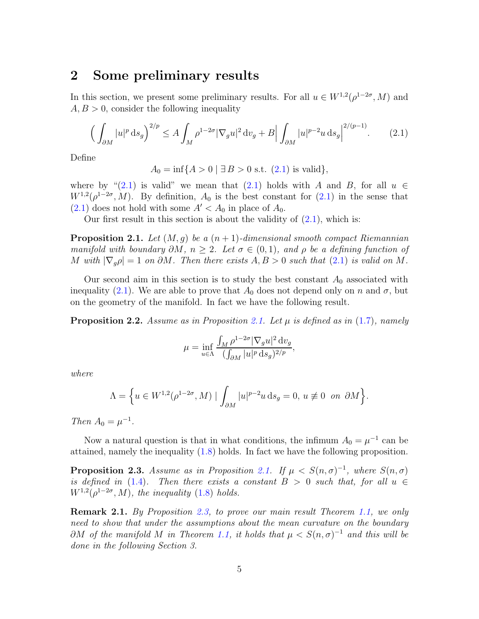#### 2 Some preliminary results

In this section, we present some preliminary results. For all  $u \in W^{1,2}(\rho^{1-2\sigma}, M)$  and  $A, B > 0$ , consider the following inequality

<span id="page-4-0"></span>
$$
\left(\int_{\partial M} |u|^p \, ds_g\right)^{2/p} \le A \int_M \rho^{1-2\sigma} |\nabla_g u|^2 \, dv_g + B \Big| \int_{\partial M} |u|^{p-2} u \, ds_g \Big|^{2/(p-1)}.\tag{2.1}
$$

Define

 $A_0 = \inf\{A > 0 \mid \exists B > 0 \text{ s.t. } (2.1) \text{ is valid}\},\$  $A_0 = \inf\{A > 0 \mid \exists B > 0 \text{ s.t. } (2.1) \text{ is valid}\},\$  $A_0 = \inf\{A > 0 \mid \exists B > 0 \text{ s.t. } (2.1) \text{ is valid}\},\$ 

where by "[\(2.1\)](#page-4-0) is valid" we mean that [\(2.1\)](#page-4-0) holds with A and B, for all  $u \in$  $W^{1,2}(\rho^{1-2\sigma}, M)$ . By definition,  $A_0$  is the best constant for  $(2.1)$  in the sense that  $(2.1)$  does not hold with some  $A' < A_0$  in place of  $A_0$ .

Our first result in this section is about the validity of  $(2.1)$ , which is:

<span id="page-4-1"></span>Proposition 2.1. *Let* (M, g) *be a* (n + 1)*-dimensional smooth compact Riemannian manifold with boundary*  $\partial M$ ,  $n > 2$ *. Let*  $\sigma \in (0, 1)$ *, and*  $\rho$  *be a defining function of* M with  $|\nabla_q \rho| = 1$  on  $\partial M$ . Then there exists  $A, B > 0$  such that [\(2.1\)](#page-4-0) is valid on M.

Our second aim in this section is to study the best constant  $A_0$  associated with inequality [\(2.1\)](#page-4-0). We are able to prove that  $A_0$  does not depend only on n and  $\sigma$ , but on the geometry of the manifold. In fact we have the following result.

<span id="page-4-3"></span>Proposition 2.2. *Assume as in Proposition [2.1.](#page-4-1) Let* µ *is defined as in* [\(1.7\)](#page-2-3)*, namely*

$$
\mu=\inf_{u\in\Lambda}\frac{\int_M\rho^{1-2\sigma}|\nabla_g u|^2\,\mathrm{d}v_g}{(\int_{\partial M}|u|^p\,\mathrm{d}s_g)^{2/p}},
$$

*where*

$$
\Lambda = \Big\{ u \in W^{1,2}(\rho^{1-2\sigma},M) \mid \int_{\partial M} |u|^{p-2}u \, \mathrm{d} s_g = 0, \, u \not\equiv 0 \, \text{ on } \partial M \Big\}.
$$

*Then*  $A_0 = \mu^{-1}$ *.* 

Now a natural question is that in what conditions, the infimum  $A_0 = \mu^{-1}$  can be attained, namely the inequality [\(1.8\)](#page-2-2) holds. In fact we have the following proposition.

<span id="page-4-2"></span>**Proposition 2.3.** Assume as in Proposition [2.1.](#page-4-1) If  $\mu < S(n, \sigma)^{-1}$ , where  $S(n, \sigma)$ *is defined in* [\(1.4\)](#page-1-2). Then there exists a constant  $B > 0$  such that, for all u ∈  $W^{1,2}(\rho^{1-2\sigma}, M)$ , the inequality [\(1.8\)](#page-2-2) holds.

Remark 2.1. *By Proposition [2.3,](#page-4-2) to prove our main result Theorem [1.1,](#page-2-1) we only need to show that under the assumptions about the mean curvature on the boundary*  $\partial M$  *of the manifold* M *in Theorem* [1.1,](#page-2-1) *it holds that*  $\mu < S(n, \sigma)^{-1}$  *and this will be done in the following Section 3.*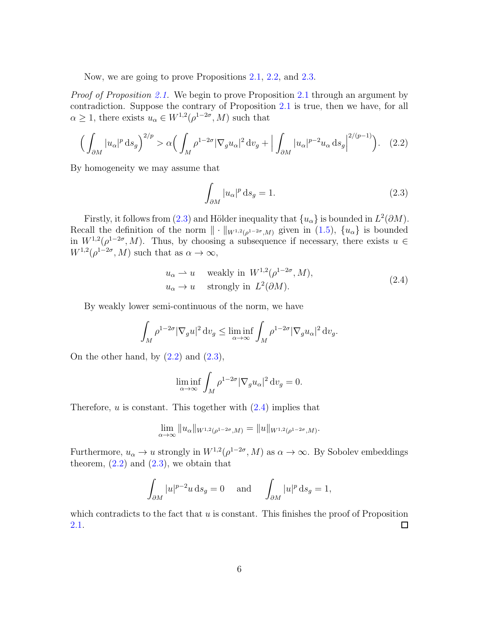Now, we are going to prove Propositions [2.1,](#page-4-1) [2.2,](#page-4-3) and [2.3.](#page-4-2)

*Proof of Proposition [2.1.](#page-4-1)* We begin to prove Proposition [2.1](#page-4-1) through an argument by contradiction. Suppose the contrary of Proposition [2.1](#page-4-1) is true, then we have, for all  $\alpha \geq 1$ , there exists  $u_{\alpha} \in W^{1,2}(\rho^{1-2\sigma}, M)$  such that

<span id="page-5-1"></span>
$$
\left(\int_{\partial M} |u_{\alpha}|^p \, ds_g\right)^{2/p} > \alpha \left(\int_M \rho^{1-2\sigma} |\nabla_g u_{\alpha}|^2 \, dv_g + \left|\int_{\partial M} |u_{\alpha}|^{p-2} u_{\alpha} \, ds_g\right|^{2/(p-1)}\right). \tag{2.2}
$$

By homogeneity we may assume that

<span id="page-5-0"></span>
$$
\int_{\partial M} |u_{\alpha}|^p \, \mathrm{d}s_g = 1. \tag{2.3}
$$

Firstly, it follows from [\(2.3\)](#page-5-0) and Hölder inequality that  $\{u_{\alpha}\}\$ is bounded in  $L^2(\partial M)$ . Recall the definition of the norm  $\|\cdot\|_{W^{1,2}(\rho^{1-2\sigma},M)}$  given in  $(1.5)$ ,  $\{u_{\alpha}\}\)$  is bounded in  $W^{1,2}(\rho^{1-2\sigma}, M)$ . Thus, by choosing a subsequence if necessary, there exists  $u \in$  $W^{1,2}(\rho^{1-2\sigma}, M)$  such that as  $\alpha \to \infty$ ,

<span id="page-5-2"></span>
$$
u_{\alpha} \to u
$$
 weakly in  $W^{1,2}(\rho^{1-2\sigma}, M)$ ,  
\n $u_{\alpha} \to u$  strongly in  $L^2(\partial M)$ . (2.4)

By weakly lower semi-continuous of the norm, we have

$$
\int_M \rho^{1-2\sigma} |\nabla_g u|^2 \, \mathrm{d}v_g \le \liminf_{\alpha \to \infty} \int_M \rho^{1-2\sigma} |\nabla_g u_\alpha|^2 \, \mathrm{d}v_g.
$$

On the other hand, by  $(2.2)$  and  $(2.3)$ ,

$$
\liminf_{\alpha \to \infty} \int_M \rho^{1-2\sigma} |\nabla_g u_\alpha|^2 dv_g = 0.
$$

Therefore,  $u$  is constant. This together with  $(2.4)$  implies that

$$
\lim_{\alpha \to \infty} ||u_{\alpha}||_{W^{1,2}(\rho^{1-2\sigma},M)} = ||u||_{W^{1,2}(\rho^{1-2\sigma},M)}.
$$

Furthermore,  $u_{\alpha} \to u$  strongly in  $W^{1,2}(\rho^{1-2\sigma}, M)$  as  $\alpha \to \infty$ . By Sobolev embeddings theorem,  $(2.2)$  and  $(2.3)$ , we obtain that

$$
\int_{\partial M} |u|^{p-2}u \, \mathrm{d} s_g = 0 \quad \text{ and } \quad \int_{\partial M} |u|^p \, \mathrm{d} s_g = 1,
$$

which contradicts to the fact that  $u$  is constant. This finishes the proof of Proposition [2.1.](#page-4-1)  $\Box$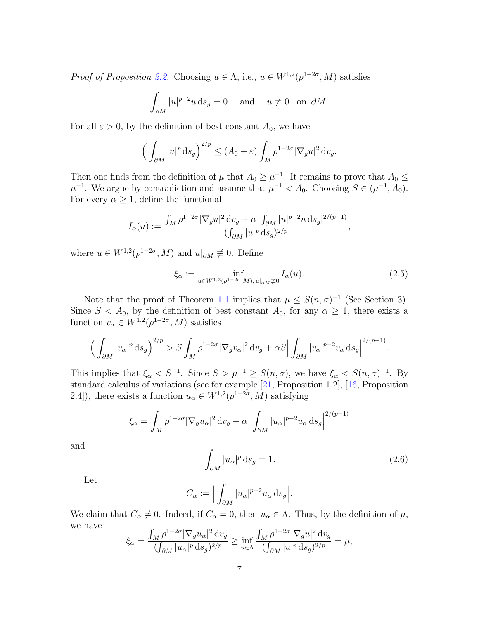*Proof of Proposition [2.2.](#page-4-3)* Choosing  $u \in \Lambda$ , i.e.,  $u \in W^{1,2}(\rho^{1-2\sigma}, M)$  satisfies

$$
\int_{\partial M} |u|^{p-2}u \, \mathrm{d} s_g = 0 \quad \text{ and } \quad u \not\equiv 0 \text{ on } \partial M.
$$

For all  $\varepsilon > 0$ , by the definition of best constant  $A_0$ , we have

$$
\left(\int_{\partial M} |u|^p \, \mathrm{d} s_g\right)^{2/p} \le (A_0 + \varepsilon) \int_M \rho^{1-2\sigma} |\nabla_g u|^2 \, \mathrm{d} v_g.
$$

Then one finds from the definition of  $\mu$  that  $A_0 \geq \mu^{-1}$ . It remains to prove that  $A_0 \leq$  $\mu^{-1}$ . We argue by contradiction and assume that  $\mu^{-1} < A_0$ . Choosing  $S \in (\mu^{-1}, A_0)$ . For every  $\alpha \geq 1$ , define the functional

$$
I_{\alpha}(u) := \frac{\int_{M} \rho^{1-2\sigma} |\nabla_g u|^2 \, dv_g + \alpha | \int_{\partial M} |u|^{p-2} u \, ds_g|^{2/(p-1)}}{(\int_{\partial M} |u|^p \, ds_g)^{2/p}},
$$

where  $u \in W^{1,2}(\rho^{1-2\sigma}, M)$  and  $u|_{\partial M} \not\equiv 0$ . Define

<span id="page-6-1"></span>
$$
\xi_{\alpha} := \inf_{u \in W^{1,2}(\rho^{1-2\sigma}, M), u|_{\partial M} \neq 0} I_{\alpha}(u).
$$
\n(2.5)

Note that the proof of Theorem [1.1](#page-2-1) implies that  $\mu \leq S(n, \sigma)^{-1}$  (See Section 3). Since  $S < A_0$ , by the definition of best constant  $A_0$ , for any  $\alpha \geq 1$ , there exists a function  $v_{\alpha} \in W^{1,2}(\rho^{1-2\sigma}, M)$  satisfies

$$
\left(\int_{\partial M} |v_\alpha|^p \,\mathrm{d} s_g\right)^{2/p} > S \int_M \rho^{1-2\sigma} |\nabla_g v_\alpha|^2 \,\mathrm{d} v_g + \alpha S \Big| \int_{\partial M} |v_\alpha|^{p-2} v_\alpha \,\mathrm{d} s_g \Big|^{2/(p-1)}
$$

This implies that  $\xi_{\alpha} < S^{-1}$ . Since  $S > \mu^{-1} \geq S(n, \sigma)$ , we have  $\xi_{\alpha} < S(n, \sigma)^{-1}$ . By standard calculus of variations (see for example [\[21,](#page-27-0) Proposition 1.2], [\[16,](#page-27-2) Proposition 2.4]), there exists a function  $u_{\alpha} \in W^{1,2}(\rho^{1-2\sigma}, M)$  satisfying

$$
\xi_{\alpha} = \int_M \rho^{1-2\sigma} |\nabla_g u_{\alpha}|^2 dv_g + \alpha \left| \int_{\partial M} |u_{\alpha}|^{p-2} u_{\alpha} ds_g \right|^{2/(p-1)}
$$

and

<span id="page-6-0"></span>
$$
\int_{\partial M} |u_{\alpha}|^p \, \mathrm{d}s_g = 1. \tag{2.6}
$$

.

Let

$$
C_{\alpha} := \Big| \int_{\partial M} |u_{\alpha}|^{p-2} u_{\alpha} \, \mathrm{d} s_g \Big|.
$$

We claim that  $C_{\alpha} \neq 0$ . Indeed, if  $C_{\alpha} = 0$ , then  $u_{\alpha} \in \Lambda$ . Thus, by the definition of  $\mu$ , we have

$$
\xi_{\alpha} = \frac{\int_M \rho^{1-2\sigma} |\nabla_g u_{\alpha}|^2 dv_g}{(\int_{\partial M} |u_{\alpha}|^p ds_g)^{2/p}} \ge \inf_{u \in \Lambda} \frac{\int_M \rho^{1-2\sigma} |\nabla_g u|^2 dv_g}{(\int_{\partial M} |u|^p ds_g)^{2/p}} = \mu,
$$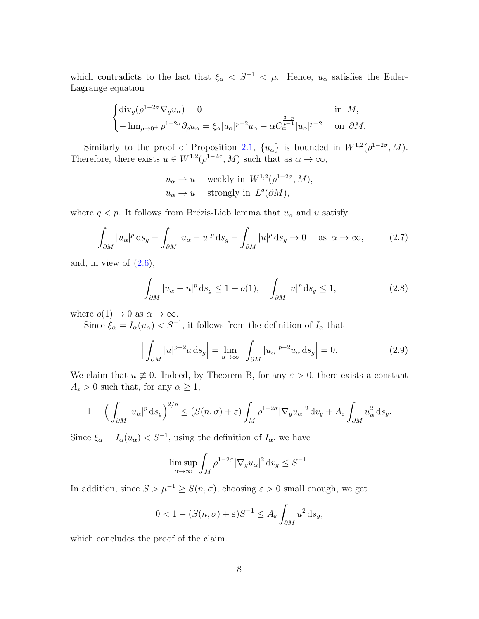which contradicts to the fact that  $\xi_{\alpha} < S^{-1} < \mu$ . Hence,  $u_{\alpha}$  satisfies the Euler-Lagrange equation

$$
\begin{cases} \operatorname{div}_g(\rho^{1-2\sigma}\nabla_g u_\alpha) = 0 & \text{in } M, \\ -\lim_{\rho \to 0^+} \rho^{1-2\sigma} \partial_\rho u_\alpha = \xi_\alpha |u_\alpha|^{p-2} u_\alpha - \alpha C_\alpha^{\frac{3-p}{p-1}} |u_\alpha|^{p-2} & \text{on } \partial M. \end{cases}
$$

Similarly to the proof of Proposition [2.1,](#page-4-1)  $\{u_{\alpha}\}\$ is bounded in  $W^{1,2}(\rho^{1-2\sigma}, M)$ . Therefore, there exists  $u \in W^{1,2}(\rho^{1-2\sigma}, M)$  such that as  $\alpha \to \infty$ ,

$$
u_{\alpha} \to u
$$
 weakly in  $W^{1,2}(\rho^{1-2\sigma}, M)$ ,  
\n $u_{\alpha} \to u$  strongly in  $L^{q}(\partial M)$ ,

where  $q < p$ . It follows from Brézis-Lieb lemma that  $u_{\alpha}$  and u satisfy

<span id="page-7-2"></span>
$$
\int_{\partial M} |u_{\alpha}|^p \, ds_g - \int_{\partial M} |u_{\alpha} - u|^p \, ds_g - \int_{\partial M} |u|^p \, ds_g \to 0 \quad \text{as } \alpha \to \infty,
$$
 (2.7)

and, in view of  $(2.6)$ ,

<span id="page-7-1"></span>
$$
\int_{\partial M} |u_{\alpha} - u|^p \, \mathrm{d}s_g \le 1 + o(1), \quad \int_{\partial M} |u|^p \, \mathrm{d}s_g \le 1,\tag{2.8}
$$

where  $o(1) \to 0$  as  $\alpha \to \infty$ .

Since  $\xi_{\alpha} = I_{\alpha}(u_{\alpha}) < S^{-1}$ , it follows from the definition of  $I_{\alpha}$  that

<span id="page-7-0"></span>
$$
\left| \int_{\partial M} |u|^{p-2} u \, \mathrm{d} s_g \right| = \lim_{\alpha \to \infty} \left| \int_{\partial M} |u_{\alpha}|^{p-2} u_{\alpha} \, \mathrm{d} s_g \right| = 0. \tag{2.9}
$$

We claim that  $u \neq 0$ . Indeed, by Theorem B, for any  $\varepsilon > 0$ , there exists a constant  $A_\varepsilon>0$  such that, for any  $\alpha\geq 1,$ 

$$
1 = \left(\int_{\partial M} |u_{\alpha}|^p \, ds_g\right)^{2/p} \le (S(n,\sigma) + \varepsilon) \int_M \rho^{1-2\sigma} |\nabla_g u_{\alpha}|^2 \, dv_g + A_{\varepsilon} \int_{\partial M} u_{\alpha}^2 \, ds_g.
$$

Since  $\xi_{\alpha} = I_{\alpha}(u_{\alpha}) < S^{-1}$ , using the definition of  $I_{\alpha}$ , we have

$$
\limsup_{\alpha \to \infty} \int_M \rho^{1-2\sigma} |\nabla_g u_\alpha|^2 dv_g \le S^{-1}.
$$

In addition, since  $S > \mu^{-1} \ge S(n, \sigma)$ , choosing  $\varepsilon > 0$  small enough, we get

$$
0 < 1 - (S(n, \sigma) + \varepsilon)S^{-1} \le A_{\varepsilon} \int_{\partial M} u^2 \, \mathrm{d}s_g,
$$

which concludes the proof of the claim.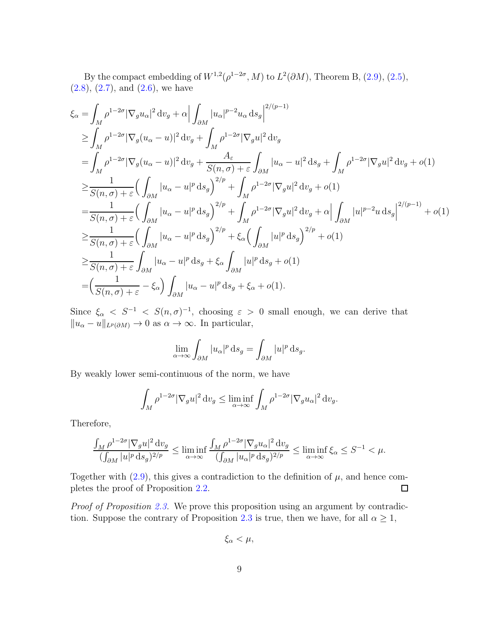By the compact embedding of  $W^{1,2}(\rho^{1-2\sigma}, M)$  to  $L^2(\partial M)$ , Theorem B,  $(2.9)$ ,  $(2.5)$ ,  $(2.8), (2.7), \text{ and } (2.6), \text{ we have}$  $(2.8), (2.7), \text{ and } (2.6), \text{ we have}$  $(2.8), (2.7), \text{ and } (2.6), \text{ we have}$  $(2.8), (2.7), \text{ and } (2.6), \text{ we have}$  $(2.8), (2.7), \text{ and } (2.6), \text{ we have}$  $(2.8), (2.7), \text{ and } (2.6), \text{ we have}$ 

$$
\xi_{\alpha} = \int_{M} \rho^{1-2\sigma} |\nabla_{g} u_{\alpha}|^{2} dv_{g} + \alpha \Big| \int_{\partial M} |u_{\alpha}|^{p-2} u_{\alpha} ds_{g}|^{2/(p-1)} \n\geq \int_{M} \rho^{1-2\sigma} |\nabla_{g} (u_{\alpha} - u)|^{2} dv_{g} + \int_{M} \rho^{1-2\sigma} |\nabla_{g} u|^{2} dv_{g} \n= \int_{M} \rho^{1-2\sigma} |\nabla_{g} (u_{\alpha} - u)|^{2} dv_{g} + \frac{A_{\varepsilon}}{S(n, \sigma) + \varepsilon} \int_{\partial M} |u_{\alpha} - u|^{2} ds_{g} + \int_{M} \rho^{1-2\sigma} |\nabla_{g} u|^{2} dv_{g} + o(1) \n\geq \frac{1}{S(n, \sigma) + \varepsilon} \Big( \int_{\partial M} |u_{\alpha} - u|^{p} ds_{g} \Big)^{2/p} + \int_{M} \rho^{1-2\sigma} |\nabla_{g} u|^{2} dv_{g} + o(1) \n= \frac{1}{S(n, \sigma) + \varepsilon} \Big( \int_{\partial M} |u_{\alpha} - u|^{p} ds_{g} \Big)^{2/p} + \int_{M} \rho^{1-2\sigma} |\nabla_{g} u|^{2} dv_{g} + \alpha \Big| \int_{\partial M} |u|^{p-2} u ds_{g} \Big|^{2/(p-1)} + o(1) \n\geq \frac{1}{S(n, \sigma) + \varepsilon} \Big( \int_{\partial M} |u_{\alpha} - u|^{p} ds_{g} \Big)^{2/p} + \xi_{\alpha} \Big( \int_{\partial M} |u|^{p} ds_{g} \Big)^{2/p} + o(1) \n\geq \frac{1}{S(n, \sigma) + \varepsilon} \int_{\partial M} |u_{\alpha} - u|^{p} ds_{g} + \xi_{\alpha} \int_{\partial M} |u|^{p} ds_{g} + o(1) \n= \Big( \frac{1}{S(n, \sigma) + \varepsilon} - \xi_{\alpha} \Big) \int_{\partial M} |u_{\alpha} - u|^{p} ds_{g} + \xi_{\alpha} + o(1).
$$

Since  $\xi_{\alpha} < S^{-1} < S(n, \sigma)^{-1}$ , choosing  $\varepsilon > 0$  small enough, we can derive that  $||u_{\alpha} - u||_{L^{p}(\partial M)} \to 0$  as  $\alpha \to \infty$ . In particular,

$$
\lim_{\alpha \to \infty} \int_{\partial M} |u_{\alpha}|^p \, \mathrm{d} s_g = \int_{\partial M} |u|^p \, \mathrm{d} s_g.
$$

By weakly lower semi-continuous of the norm, we have

$$
\int_M \rho^{1-2\sigma} |\nabla_g u|^2 dv_g \le \liminf_{\alpha \to \infty} \int_M \rho^{1-2\sigma} |\nabla_g u_\alpha|^2 dv_g.
$$

Therefore,

$$
\frac{\int_M \rho^{1-2\sigma} |\nabla_g u|^2 \, {\rm d} v_g}{(\int_{\partial M} |u|^p \, {\rm d} s_g)^{2/p}} \leq \liminf_{\alpha \to \infty} \frac{\int_M \rho^{1-2\sigma} |\nabla_g u_\alpha|^2 \, {\rm d} v_g}{(\int_{\partial M} |u_\alpha|^p \, {\rm d} s_g)^{2/p}} \leq \liminf_{\alpha \to \infty} \xi_\alpha \leq S^{-1} < \mu.
$$

Together with  $(2.9)$ , this gives a contradiction to the definition of  $\mu$ , and hence completes the proof of Proposition [2.2.](#page-4-3)  $\Box$ 

*Proof of Proposition [2.3.](#page-4-2)* We prove this proposition using an argument by contradic-tion. Suppose the contrary of Proposition [2.3](#page-4-2) is true, then we have, for all  $\alpha \geq 1$ ,

$$
\xi_{\alpha}<\mu,
$$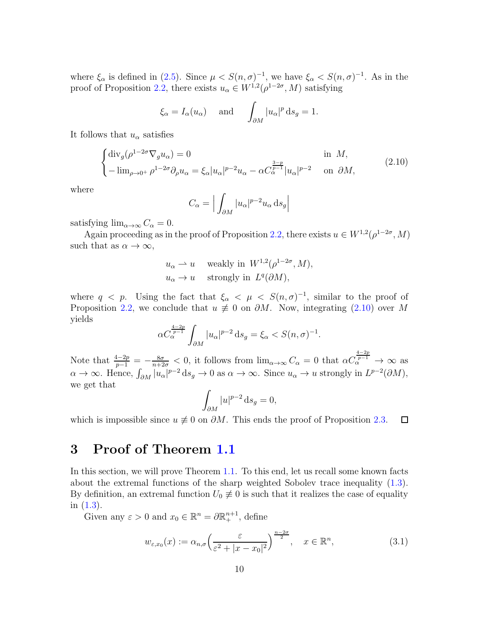where  $\xi_{\alpha}$  is defined in [\(2.5\)](#page-6-1). Since  $\mu < S(n, \sigma)^{-1}$ , we have  $\xi_{\alpha} < S(n, \sigma)^{-1}$ . As in the proof of Proposition [2.2,](#page-4-3) there exists  $u_{\alpha} \in W^{1,2}(\rho^{1-2\sigma}, M)$  satisfying

$$
\xi_{\alpha} = I_{\alpha}(u_{\alpha})
$$
 and  $\int_{\partial M} |u_{\alpha}|^p \,ds_g = 1.$ 

It follows that  $u_{\alpha}$  satisfies

<span id="page-9-0"></span>
$$
\begin{cases} \operatorname{div}_g(\rho^{1-2\sigma}\nabla_g u_\alpha) = 0 & \text{in } M, \\ -\lim_{\rho \to 0^+} \rho^{1-2\sigma} \partial_\rho u_\alpha = \xi_\alpha |u_\alpha|^{p-2} u_\alpha - \alpha C_\alpha^{\frac{3-p}{p-1}} |u_\alpha|^{p-2} & \text{on } \partial M, \end{cases}
$$
(2.10)

where

$$
C_{\alpha} = \Big|\int_{\partial M}|u_{\alpha}|^{p-2}u_{\alpha}\,\mathrm{d}s_{g}\Big|
$$

satisfying  $\lim_{\alpha \to \infty} C_{\alpha} = 0$ .

Again proceeding as in the proof of Proposition [2.2,](#page-4-3) there exists  $u \in W^{1,2}(\rho^{1-2\sigma}, M)$ such that as  $\alpha \to \infty$ ,

$$
u_{\alpha} \rightharpoonup u
$$
 weakly in  $W^{1,2}(\rho^{1-2\sigma}, M)$ ,  
\n $u_{\alpha} \rightarrow u$  strongly in  $L^{q}(\partial M)$ ,

where  $q \leq p$ . Using the fact that  $\xi_{\alpha} \leq \mu \leq S(n, \sigma)^{-1}$ , similar to the proof of Proposition [2.2,](#page-4-3) we conclude that  $u \neq 0$  on  $\partial M$ . Now, integrating [\(2.10\)](#page-9-0) over M yields

$$
\alpha C_{\alpha}^{\frac{4-2p}{p-1}} \int_{\partial M} |u_{\alpha}|^{p-2} \, \mathrm{d} s_g = \xi_{\alpha} < S(n, \sigma)^{-1}.
$$

Note that  $\frac{4-2p}{p-1} = -\frac{8\sigma}{n+2\sigma} < 0$ , it follows from  $\lim_{\alpha \to \infty} C_{\alpha} = 0$  that  $\alpha C$  $\frac{\frac{4-2p}{p-1}}{\alpha} \to \infty$  as  $\alpha \to \infty$ . Hence,  $\int_{\partial M} |u_{\alpha}|^{p-2} ds_g \to 0$  as  $\alpha \to \infty$ . Since  $u_{\alpha} \to u$  strongly in  $L^{p-2}(\partial M)$ , we get that

$$
\int_{\partial M} |u|^{p-2} \, \mathrm{d} s_g = 0,
$$

which is impossible since  $u \neq 0$  on  $\partial M$ . This ends the proof of Proposition [2.3.](#page-4-2)  $\Box$ 

### 3 Proof of Theorem [1.1](#page-2-1)

In this section, we will prove Theorem [1.1.](#page-2-1) To this end, let us recall some known facts about the extremal functions of the sharp weighted Sobolev trace inequality [\(1.3\)](#page-1-1). By definition, an extremal function  $U_0 \neq 0$  is such that it realizes the case of equality in [\(1.3\)](#page-1-1).

Given any  $\varepsilon > 0$  and  $x_0 \in \mathbb{R}^n = \partial \mathbb{R}^{n+1}_+$ , define

<span id="page-9-1"></span>
$$
w_{\varepsilon,x_0}(x) := \alpha_{n,\sigma} \left(\frac{\varepsilon}{\varepsilon^2 + |x - x_0|^2}\right)^{\frac{n-2\sigma}{2}}, \quad x \in \mathbb{R}^n,
$$
\n(3.1)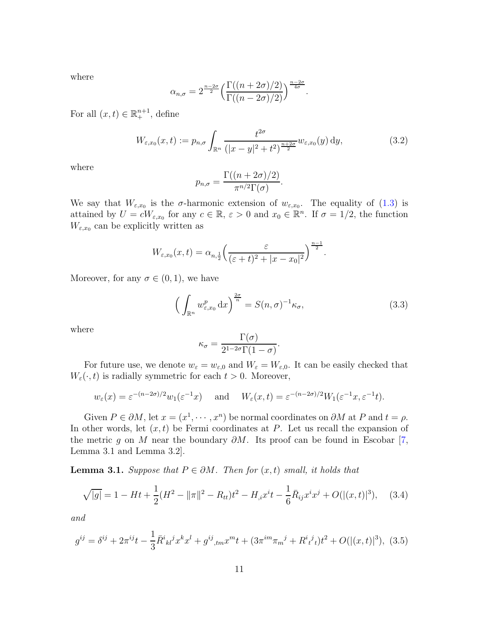where

$$
\alpha_{n,\sigma} = 2^{\frac{n-2\sigma}{2}} \Big( \frac{\Gamma((n+2\sigma)/2)}{\Gamma((n-2\sigma)/2)} \Big)^{\frac{n-2\sigma}{4\sigma}}.
$$

For all  $(x, t) \in \mathbb{R}^{n+1}_+$ , define

<span id="page-10-3"></span>
$$
W_{\varepsilon,x_0}(x,t) := p_{n,\sigma} \int_{\mathbb{R}^n} \frac{t^{2\sigma}}{(|x-y|^2 + t^2)^{\frac{n+2\sigma}{2}}} w_{\varepsilon,x_0}(y) \, dy,
$$
 (3.2)

where

$$
p_{n,\sigma} = \frac{\Gamma((n+2\sigma)/2)}{\pi^{n/2}\Gamma(\sigma)}.
$$

We say that  $W_{\varepsilon,x_0}$  is the  $\sigma$ -harmonic extension of  $w_{\varepsilon,x_0}$ . The equality of [\(1.3\)](#page-1-1) is attained by  $U = cW_{\varepsilon,x_0}$  for any  $c \in \mathbb{R}, \varepsilon > 0$  and  $x_0 \in \mathbb{R}^n$ . If  $\sigma = 1/2$ , the function  $W_{\varepsilon,x_0}$  can be explicitly written as

$$
W_{\varepsilon,x_0}(x,t) = \alpha_{n,\frac{1}{2}} \left( \frac{\varepsilon}{(\varepsilon+t)^2 + |x - x_0|^2} \right)^{\frac{n-1}{2}}.
$$

Moreover, for any  $\sigma \in (0,1)$ , we have

<span id="page-10-1"></span>
$$
\left(\int_{\mathbb{R}^n} w_{\varepsilon, x_0}^p \, \mathrm{d}x\right)^{\frac{2\sigma}{n}} = S(n, \sigma)^{-1} \kappa_\sigma,\tag{3.3}
$$

where

$$
\kappa_{\sigma} = \frac{\Gamma(\sigma)}{2^{1-2\sigma}\Gamma(1-\sigma)}.
$$

For future use, we denote  $w_{\varepsilon} = w_{\varepsilon,0}$  and  $W_{\varepsilon} = W_{\varepsilon,0}$ . It can be easily checked that  $W_{\varepsilon}(\cdot, t)$  is radially symmetric for each  $t > 0$ . Moreover,

$$
w_{\varepsilon}(x) = \varepsilon^{-(n-2\sigma)/2} w_1(\varepsilon^{-1}x)
$$
 and  $W_{\varepsilon}(x,t) = \varepsilon^{-(n-2\sigma)/2} W_1(\varepsilon^{-1}x, \varepsilon^{-1}t).$ 

Given  $P \in \partial M$ , let  $x = (x^1, \dots, x^n)$  be normal coordinates on  $\partial M$  at P and  $t = \rho$ . In other words, let  $(x, t)$  be Fermi coordinates at P. Let us recall the expansion of the metric g on M near the boundary  $\partial M$ . Its proof can be found in Escobar [\[7,](#page-26-12) Lemma 3.1 and Lemma 3.2].

**Lemma 3.1.** *Suppose that*  $P \in \partial M$ *. Then for*  $(x, t)$  *small, it holds that* 

<span id="page-10-0"></span>
$$
\sqrt{|g|} = 1 - Ht + \frac{1}{2}(H^2 - \|\pi\|^2 - R_{tt})t^2 - H_{,i}x^it - \frac{1}{6}\bar{R}_{ij}x^ix^j + O(|(x,t)|^3), \quad (3.4)
$$

*and*

<span id="page-10-2"></span>
$$
g^{ij} = \delta^{ij} + 2\pi^{ij}t - \frac{1}{3}\bar{R}^i{}_{kl}{}^j x^k x^l + g^{ij}{}_{,tm}x^m t + (3\pi^{im}\pi_m{}^j + R^i{}_{t}{}^j{}_{t})t^2 + O(|(x,t)|^3),
$$
 (3.5)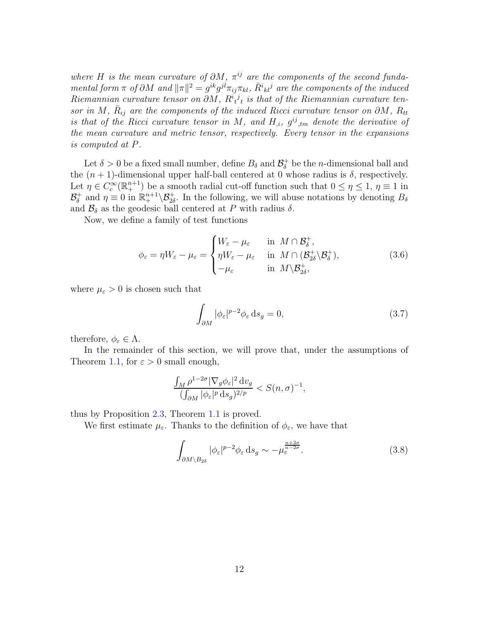*where* H *is the mean curvature of*  $\partial M$ ,  $\pi^{ij}$  *are the components of the second fundamental form*  $\pi$  *of*  $\partial M$  *and*  $\|\pi\|^2 = g^{ik}g^{jl}\pi_{ij}\pi_{kl}$ ,  $\bar{R}^i{}_{kl}{}^j$  *are the components of the induced Riemannian curvature tensor on*  $\partial M$ ,  $R^i_{t}{}^j{}_{t}$  is that of the Riemannian curvature ten $s$ or in M,  $\bar{R}_{ij}$  are the components of the induced Ricci curvature tensor on  $\partial M$ ,  $R_{tt}$ is that of the Ricci curvature tensor in M, and  $H_{,i}$ ,  $g^{ij}$ <sub>,tm</sub> denote the derivative of *the mean curvature and metric tensor, respectively. Every tensor in the expansions is computed at* P*.*

Let  $\delta > 0$  be a fixed small number, define  $B_{\delta}$  and  $\mathcal{B}_{\delta}^{+}$  $\delta$  be the *n*-dimensional ball and the  $(n + 1)$ -dimensional upper half-ball centered at 0 whose radius is  $\delta$ , respectively. Let  $\eta \in C_c^{\infty}(\mathbb{R}^{n+1}_+)$  be a smooth radial cut-off function such that  $0 \leq \eta \leq 1$ ,  $\eta \equiv 1$  in  $\mathcal{B}^+_\delta$  $\delta_{\delta}$  and  $\eta \equiv 0$  in  $\mathbb{R}^{n+1}_+ \setminus \mathcal{B}^+_{2\delta}$ . In the following, we will abuse notations by denoting  $B_{\delta}$ and  $\mathcal{B}_{\delta}$  as the geodesic ball centered at P with radius  $\delta$ .

Now, we define a family of test functions

<span id="page-11-2"></span>
$$
\phi_{\varepsilon} = \eta W_{\varepsilon} - \mu_{\varepsilon} = \begin{cases} W_{\varepsilon} - \mu_{\varepsilon} & \text{in } M \cap \mathcal{B}_{\delta}^{+}, \\ \eta W_{\varepsilon} - \mu_{\varepsilon} & \text{in } M \cap (\mathcal{B}_{2\delta}^{+} \backslash \mathcal{B}_{\delta}^{+}), \\ -\mu_{\varepsilon} & \text{in } M \backslash \mathcal{B}_{2\delta}^{+}, \end{cases}
$$
(3.6)

where  $\mu_{\varepsilon} > 0$  is chosen such that

<span id="page-11-0"></span>
$$
\int_{\partial M} |\phi_{\varepsilon}|^{p-2} \phi_{\varepsilon} \, \mathrm{d} s_g = 0,\tag{3.7}
$$

therefore,  $\phi_{\varepsilon} \in \Lambda$ .

In the remainder of this section, we will prove that, under the assumptions of Theorem [1.1,](#page-2-1) for  $\varepsilon > 0$  small enough,

$$
\frac{\int_{M}\rho^{1-2\sigma}|\nabla_{g}\phi_{\varepsilon}|^{2}\,\mathrm{d}v_{g}}{(\int_{\partial M}|\phi_{\varepsilon}|^{p}\,\mathrm{d}s_{g})^{2/p}}
$$

thus by Proposition [2.3,](#page-4-2) Theorem [1.1](#page-2-1) is proved.

We first estimate  $\mu_{\varepsilon}$ . Thanks to the definition of  $\phi_{\varepsilon}$ , we have that

<span id="page-11-1"></span>
$$
\int_{\partial M \setminus B_{2\delta}} |\phi_{\varepsilon}|^{p-2} \phi_{\varepsilon} \, \mathrm{d} s_g \sim -\mu_{\varepsilon}^{\frac{n+2\sigma}{n-2\sigma}}. \tag{3.8}
$$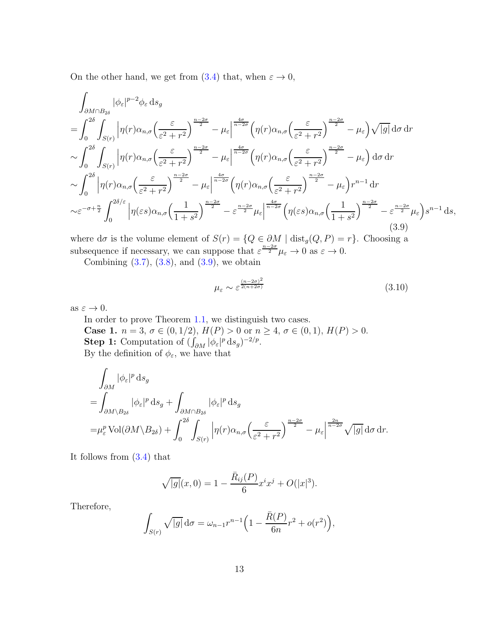On the other hand, we get from [\(3.4\)](#page-10-0) that, when  $\varepsilon \to 0$ ,

<span id="page-12-0"></span>
$$
\int_{\partial M \cap B_{2\delta}} |\phi_{\varepsilon}|^{p-2} \phi_{\varepsilon} ds_{g}
$$
\n
$$
= \int_{0}^{2\delta} \int_{S(r)} |\eta(r)\alpha_{n,\sigma}\left(\frac{\varepsilon}{\varepsilon^{2} + r^{2}}\right)^{\frac{n-2\sigma}{2}} - \mu_{\varepsilon} \Big|^{\frac{4\sigma}{n-2\sigma}} \left(\eta(r)\alpha_{n,\sigma}\left(\frac{\varepsilon}{\varepsilon^{2} + r^{2}}\right)^{\frac{n-2\sigma}{2}} - \mu_{\varepsilon}\right) \sqrt{|g|} d\sigma dr
$$
\n
$$
\sim \int_{0}^{2\delta} \int_{S(r)} |\eta(r)\alpha_{n,\sigma}\left(\frac{\varepsilon}{\varepsilon^{2} + r^{2}}\right)^{\frac{n-2\sigma}{2}} - \mu_{\varepsilon} \Big|^{\frac{4\sigma}{n-2\sigma}} \left(\eta(r)\alpha_{n,\sigma}\left(\frac{\varepsilon}{\varepsilon^{2} + r^{2}}\right)^{\frac{n-2\sigma}{2}} - \mu_{\varepsilon}\right) d\sigma dr
$$
\n
$$
\sim \int_{0}^{2\delta} |\eta(r)\alpha_{n,\sigma}\left(\frac{\varepsilon}{\varepsilon^{2} + r^{2}}\right)^{\frac{n-2\sigma}{2}} - \mu_{\varepsilon} \Big|^{\frac{4\sigma}{n-2\sigma}} \left(\eta(r)\alpha_{n,\sigma}\left(\frac{\varepsilon}{\varepsilon^{2} + r^{2}}\right)^{\frac{n-2\sigma}{2}} - \mu_{\varepsilon}\right) r^{n-1} dr
$$
\n
$$
\sim \varepsilon^{-\sigma + \frac{n}{2}} \int_{0}^{2\delta/\varepsilon} |\eta(\varepsilon s)\alpha_{n,\sigma}\left(\frac{1}{1+s^{2}}\right)^{\frac{n-2\sigma}{2}} - \varepsilon^{\frac{n-2\sigma}{2}} \mu_{\varepsilon} \Big|^{\frac{4\sigma}{n-2\sigma}} \left(\eta(\varepsilon s)\alpha_{n,\sigma}\left(\frac{1}{1+s^{2}}\right)^{\frac{n-2\sigma}{2}} - \varepsilon^{\frac{n-2\sigma}{2}} \right) \tag{3.9}
$$

where d $\sigma$  is the volume element of  $S(r) = \{Q \in \partial M \mid \text{dist}_g(Q, P) = r\}.$  Choosing a subsequence if necessary, we can suppose that  $\varepsilon^{\frac{n-2\sigma}{2}}\mu_{\varepsilon} \to 0$  as  $\varepsilon \to 0$ .

Combining  $(3.7)$ ,  $(3.8)$ , and  $(3.9)$ , we obtain

<span id="page-12-1"></span>
$$
\mu_{\varepsilon} \sim \varepsilon^{\frac{(n-2\sigma)^2}{2(n+2\sigma)}} \tag{3.10}
$$

as  $\varepsilon \to 0$ .

In order to prove Theorem [1.1,](#page-2-1) we distinguish two cases. Case 1.  $n = 3, \sigma \in (0, 1/2), H(P) > 0$  or  $n \ge 4, \sigma \in (0, 1), H(P) > 0.$ **Step 1:** Computation of  $(\int_{\partial M} |\phi_{\varepsilon}|^p \, ds_g)^{-2/p}$ . By the definition of  $\phi_{\varepsilon}$ , we have that

$$
\int_{\partial M} |\phi_{\varepsilon}|^p \, \mathrm{d}s_g
$$
\n
$$
= \int_{\partial M \setminus B_{2\delta}} |\phi_{\varepsilon}|^p \, \mathrm{d}s_g + \int_{\partial M \cap B_{2\delta}} |\phi_{\varepsilon}|^p \, \mathrm{d}s_g
$$
\n
$$
= \mu_{\varepsilon}^p \operatorname{Vol}(\partial M \setminus B_{2\delta}) + \int_0^{2\delta} \int_{S(r)} \left| \eta(r) \alpha_{n,\sigma} \left( \frac{\varepsilon}{\varepsilon^2 + r^2} \right)^{\frac{n-2\sigma}{2}} - \mu_{\varepsilon} \right|^{\frac{2n}{n-2\sigma}} \sqrt{|g|} \, \mathrm{d}\sigma \, \mathrm{d}r.
$$

It follows from [\(3.4\)](#page-10-0) that

$$
\sqrt{|g|}(x,0) = 1 - \frac{\bar{R}_{ij}(P)}{6}x^{i}x^{j} + O(|x|^{3}).
$$

Therefore,

$$
\int_{S(r)} \sqrt{|g|} d\sigma = \omega_{n-1} r^{n-1} \left( 1 - \frac{\bar{R}(P)}{6n} r^2 + o(r^2) \right),
$$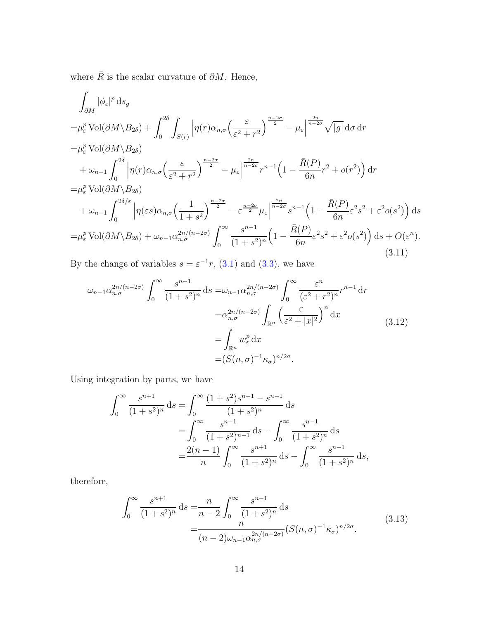where  $\bar{R}$  is the scalar curvature of  $\partial M.$  Hence,

<span id="page-13-2"></span>
$$
\int_{\partial M} |\phi_{\varepsilon}|^p \, ds_g
$$
\n
$$
= \mu_{\varepsilon}^p \operatorname{Vol}(\partial M \setminus B_{2\delta}) + \int_0^{2\delta} \int_{S(r)} \left| \eta(r) \alpha_{n,\sigma} \left( \frac{\varepsilon}{\varepsilon^2 + r^2} \right)^{\frac{n-2\sigma}{2}} - \mu_{\varepsilon} \right|^{\frac{2n}{n-2\sigma}} \sqrt{|g|} \, d\sigma \, dr
$$
\n
$$
= \mu_{\varepsilon}^p \operatorname{Vol}(\partial M \setminus B_{2\delta})
$$
\n
$$
+ \omega_{n-1} \int_0^{2\delta} \left| \eta(r) \alpha_{n,\sigma} \left( \frac{\varepsilon}{\varepsilon^2 + r^2} \right)^{\frac{n-2\sigma}{2}} - \mu_{\varepsilon} \right|^{\frac{2n}{n-2\sigma}} r^{n-1} \left( 1 - \frac{\bar{R}(P)}{6n} r^2 + o(r^2) \right) \, dr
$$
\n
$$
= \mu_{\varepsilon}^p \operatorname{Vol}(\partial M \setminus B_{2\delta})
$$
\n
$$
+ \omega_{n-1} \int_0^{2\delta/\varepsilon} \left| \eta(\varepsilon s) \alpha_{n,\sigma} \left( \frac{1}{1+s^2} \right)^{\frac{n-2\sigma}{2}} - \varepsilon^{\frac{n-2\sigma}{2}} \mu_{\varepsilon} \right|^{\frac{2n}{n-2\sigma}} s^{n-1} \left( 1 - \frac{\bar{R}(P)}{6n} \varepsilon^2 s^2 + \varepsilon^2 o(s^2) \right) \, ds
$$
\n
$$
= \mu_{\varepsilon}^p \operatorname{Vol}(\partial M \setminus B_{2\delta}) + \omega_{n-1} \alpha_{n,\sigma}^{2n/(n-2\sigma)} \int_0^{\infty} \frac{s^{n-1}}{(1+s^2)^n} \left( 1 - \frac{\bar{R}(P)}{6n} \varepsilon^2 s^2 + \varepsilon^2 o(s^2) \right) \, ds + O(\varepsilon^n).
$$
\n(3.11)

By the change of variables  $s = \varepsilon^{-1}r$ , [\(3.1\)](#page-9-1) and [\(3.3\)](#page-10-1), we have

<span id="page-13-0"></span>
$$
\omega_{n-1} \alpha_{n,\sigma}^{2n/(n-2\sigma)} \int_0^\infty \frac{s^{n-1}}{(1+s^2)^n} ds = \omega_{n-1} \alpha_{n,\sigma}^{2n/(n-2\sigma)} \int_0^\infty \frac{\varepsilon^n}{(\varepsilon^2 + r^2)^n} r^{n-1} dr
$$

$$
= \alpha_{n,\sigma}^{2n/(n-2\sigma)} \int_{\mathbb{R}^n} \left( \frac{\varepsilon}{\varepsilon^2 + |x|^2} \right)^n dx
$$

$$
= \int_{\mathbb{R}^n} w_\varepsilon^p dx
$$

$$
= (S(n,\sigma)^{-1} \kappa_\sigma)^{n/2\sigma}.
$$
\n(3.12)

Using integration by parts, we have

$$
\int_0^\infty \frac{s^{n+1}}{(1+s^2)^n} ds = \int_0^\infty \frac{(1+s^2)s^{n-1} - s^{n-1}}{(1+s^2)^n} ds
$$
  
= 
$$
\int_0^\infty \frac{s^{n-1}}{(1+s^2)^{n-1}} ds - \int_0^\infty \frac{s^{n-1}}{(1+s^2)^n} ds
$$
  
= 
$$
\frac{2(n-1)}{n} \int_0^\infty \frac{s^{n+1}}{(1+s^2)^n} ds - \int_0^\infty \frac{s^{n-1}}{(1+s^2)^n} ds,
$$

therefore,

<span id="page-13-1"></span>
$$
\int_0^\infty \frac{s^{n+1}}{(1+s^2)^n} ds = \frac{n}{n-2} \int_0^\infty \frac{s^{n-1}}{(1+s^2)^n} ds
$$
  
= 
$$
\frac{n}{(n-2)\omega_{n-1}\alpha_{n,\sigma}^{2n/(n-2\sigma)}} (S(n,\sigma)^{-1} \kappa_\sigma)^{n/2\sigma}.
$$
 (3.13)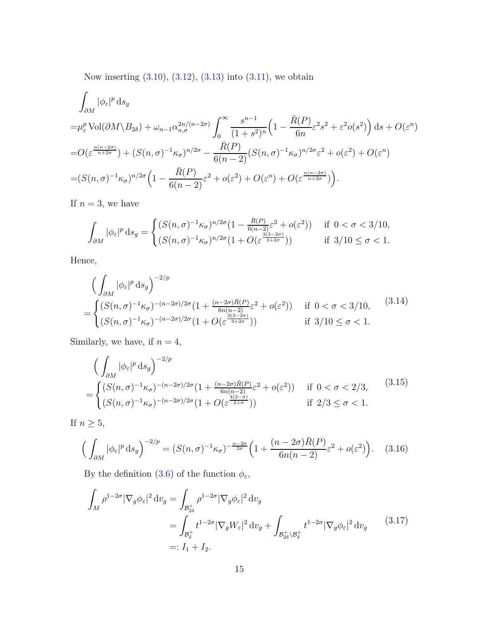Now inserting [\(3.10\)](#page-12-1), [\(3.12\)](#page-13-0), [\(3.13\)](#page-13-1) into [\(3.11\)](#page-13-2), we obtain

$$
\int_{\partial M} |\phi_{\varepsilon}|^p \, ds_g
$$
\n
$$
= \mu_{\varepsilon}^p \operatorname{Vol}(\partial M \setminus B_{2\delta}) + \omega_{n-1} \alpha_{n,\sigma}^{2n/(n-2\sigma)} \int_0^{\infty} \frac{s^{n-1}}{(1+s^2)^n} \left(1 - \frac{\bar{R}(P)}{6n} \varepsilon^2 s^2 + \varepsilon^2 o(s^2)\right) \, ds + O(\varepsilon^n)
$$
\n
$$
= O(\varepsilon^{\frac{n(n-2\sigma)}{n+2\sigma}}) + (S(n,\sigma)^{-1} \kappa_{\sigma})^{n/2\sigma} - \frac{\bar{R}(P)}{6(n-2)} (S(n,\sigma)^{-1} \kappa_{\sigma})^{n/2\sigma} \varepsilon^2 + o(\varepsilon^2) + O(\varepsilon^n)
$$
\n
$$
= (S(n,\sigma)^{-1} \kappa_{\sigma})^{n/2\sigma} \left(1 - \frac{\bar{R}(P)}{6(n-2)} \varepsilon^2 + o(\varepsilon^2) + O(\varepsilon^n) + O(\varepsilon^{\frac{n(n-2\sigma)}{n+2\sigma}})\right).
$$

If  $n = 3$ , we have

$$
\int_{\partial M} |\phi_{\varepsilon}|^p \, ds_g = \begin{cases} (S(n,\sigma)^{-1} \kappa_{\sigma})^{n/2\sigma} (1 - \frac{\bar{R}(P)}{6(n-2)} \varepsilon^2 + o(\varepsilon^2)) & \text{if } 0 < \sigma < 3/10, \\ (S(n,\sigma)^{-1} \kappa_{\sigma})^{n/2\sigma} (1 + O(\varepsilon^{\frac{3(3-2\sigma)}{3+2\sigma}})) & \text{if } 3/10 \le \sigma < 1. \end{cases}
$$

Hence,

<span id="page-14-1"></span>
$$
\begin{split} &\left(\int_{\partial M} |\phi_{\varepsilon}|^p \, \mathrm{d}s_g\right)^{-2/p} \\ &= \begin{cases} (S(n,\sigma)^{-1}\kappa_{\sigma})^{-(n-2\sigma)/2\sigma} (1 + \frac{(n-2\sigma)\bar{R}(P)}{6n(n-2)}\varepsilon^2 + o(\varepsilon^2)) & \text{if } 0 < \sigma < 3/10, \\ (S(n,\sigma)^{-1}\kappa_{\sigma})^{-(n-2\sigma)/2\sigma} (1 + O(\varepsilon^{\frac{3(3-2\sigma)}{3+2\sigma}})) & \text{if } 3/10 \leq \sigma < 1. \end{cases} \end{split} \tag{3.14}
$$

Similarly, we have, if  $n=4,$ 

<span id="page-14-2"></span>
$$
\begin{aligned}\n&\left(\int_{\partial M} |\phi_{\varepsilon}|^p \, ds_g\right)^{-2/p} \\
&= \begin{cases}\n(S(n,\sigma)^{-1} \kappa_{\sigma})^{-(n-2\sigma)/2\sigma} (1 + \frac{(n-2\sigma)\bar{R}(P)}{6n(n-2)} \varepsilon^2 + o(\varepsilon^2)) & \text{if } 0 < \sigma < 2/3, \\
(S(n,\sigma)^{-1} \kappa_{\sigma})^{-(n-2\sigma)/2\sigma} (1 + O(\varepsilon^{\frac{4(2-\sigma)}{2+\sigma}})) & \text{if } 2/3 \leq \sigma < 1.\n\end{cases}\n\end{aligned} \tag{3.15}
$$

If  $n \geq 5$ ,

<span id="page-14-3"></span>
$$
\left(\int_{\partial M} |\phi_{\varepsilon}|^p \, ds_g\right)^{-2/p} = \left(S(n,\sigma)^{-1} \kappa_{\sigma}\right)^{-\frac{n-2\sigma}{2\sigma}} \left(1 + \frac{(n-2\sigma)\bar{R}(P)}{6n(n-2)}\varepsilon^2 + o(\varepsilon^2)\right). \tag{3.16}
$$

By the definition [\(3.6\)](#page-11-2) of the function  $\phi_\varepsilon,$ 

<span id="page-14-0"></span>
$$
\int_{M} \rho^{1-2\sigma} |\nabla_{g} \phi_{\varepsilon}|^{2} dv_{g} = \int_{\mathcal{B}^{+}_{\delta}} \rho^{1-2\sigma} |\nabla_{g} \phi_{\varepsilon}|^{2} dv_{g}
$$
\n
$$
= \int_{\mathcal{B}^{+}_{\delta}} t^{1-2\sigma} |\nabla_{g} W_{\varepsilon}|^{2} dv_{g} + \int_{\mathcal{B}^{+}_{2\delta} \setminus \mathcal{B}^{+}_{\delta}} t^{1-2\sigma} |\nabla_{g} \phi_{\varepsilon}|^{2} dv_{g}
$$
\n
$$
=: I_{1} + I_{2}.
$$
\n(3.17)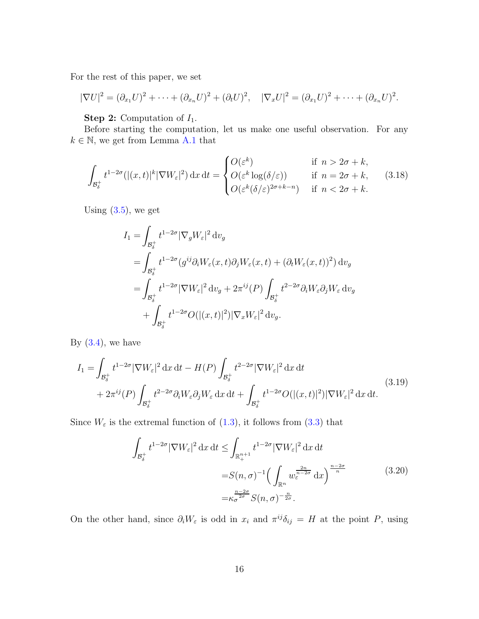For the rest of this paper, we set

$$
|\nabla U|^2 = (\partial_{x_1} U)^2 + \cdots + (\partial_{x_n} U)^2 + (\partial_t U)^2, \quad |\nabla_x U|^2 = (\partial_{x_1} U)^2 + \cdots + (\partial_{x_n} U)^2.
$$

#### **Step 2:** Computation of  $I_1$ .

Before starting the computation, let us make one useful observation. For any  $k \in \mathbb{N}$ , we get from Lemma [A.1](#page-23-0) that

<span id="page-15-0"></span>
$$
\int_{\mathcal{B}_{\delta}^+} t^{1-2\sigma}(|(x,t)|^k |\nabla W_{\varepsilon}|^2) dx dt = \begin{cases} O(\varepsilon^k) & \text{if } n > 2\sigma + k, \\ O(\varepsilon^k \log(\delta/\varepsilon)) & \text{if } n = 2\sigma + k, \\ O(\varepsilon^k(\delta/\varepsilon)^{2\sigma + k - n}) & \text{if } n < 2\sigma + k. \end{cases}
$$
(3.18)

Using  $(3.5)$ , we get

$$
I_{1} = \int_{\mathcal{B}_{\delta}^{+}} t^{1-2\sigma} |\nabla_{g} W_{\varepsilon}|^{2} dv_{g}
$$
  
\n
$$
= \int_{\mathcal{B}_{\delta}^{+}} t^{1-2\sigma} (g^{ij} \partial_{i} W_{\varepsilon}(x, t) \partial_{j} W_{\varepsilon}(x, t) + (\partial_{t} W_{\varepsilon}(x, t))^{2}) dv_{g}
$$
  
\n
$$
= \int_{\mathcal{B}_{\delta}^{+}} t^{1-2\sigma} |\nabla W_{\varepsilon}|^{2} dv_{g} + 2\pi^{ij} (P) \int_{\mathcal{B}_{\delta}^{+}} t^{2-2\sigma} \partial_{i} W_{\varepsilon} \partial_{j} W_{\varepsilon} dv_{g}
$$
  
\n
$$
+ \int_{\mathcal{B}_{\delta}^{+}} t^{1-2\sigma} O(|(x, t)|^{2}) |\nabla_{x} W_{\varepsilon}|^{2} dv_{g}.
$$

By  $(3.4)$ , we have

<span id="page-15-2"></span>
$$
I_1 = \int_{\mathcal{B}_{\delta}^+} t^{1-2\sigma} |\nabla W_{\varepsilon}|^2 dx dt - H(P) \int_{\mathcal{B}_{\delta}^+} t^{2-2\sigma} |\nabla W_{\varepsilon}|^2 dx dt + 2\pi^{ij}(P) \int_{\mathcal{B}_{\delta}^+} t^{2-2\sigma} \partial_i W_{\varepsilon} \partial_j W_{\varepsilon} dx dt + \int_{\mathcal{B}_{\delta}^+} t^{1-2\sigma} O(|(x,t)|^2) |\nabla W_{\varepsilon}|^2 dx dt.
$$
\n(3.19)

Since  $W_{\varepsilon}$  is the extremal function of  $(1.3)$ , it follows from  $(3.3)$  that

<span id="page-15-1"></span>
$$
\int_{\mathcal{B}_{\delta}^{+}} t^{1-2\sigma} |\nabla W_{\varepsilon}|^{2} dx dt \leq \int_{\mathbb{R}_{+}^{n+1}} t^{1-2\sigma} |\nabla W_{\varepsilon}|^{2} dx dt
$$

$$
= S(n, \sigma)^{-1} \Big( \int_{\mathbb{R}^{n}} w_{\varepsilon}^{\frac{2n}{n-2\sigma}} dx \Big)^{\frac{n-2\sigma}{n}} \tag{3.20}
$$

$$
= \kappa_{\sigma}^{\frac{n-2\sigma}{2\sigma}} S(n, \sigma)^{-\frac{n}{2\sigma}}.
$$

On the other hand, since  $\partial_i W_{\varepsilon}$  is odd in  $x_i$  and  $\pi^{ij}\delta_{ij} = H$  at the point P, using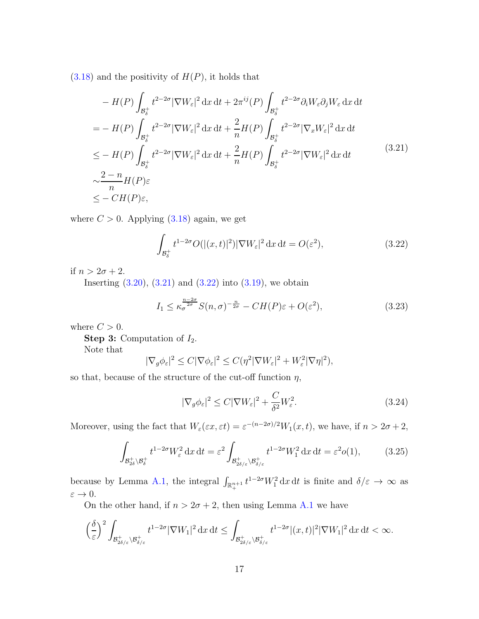$(3.18)$  and the positivity of  $H(P)$ , it holds that

<span id="page-16-0"></span>
$$
- H(P) \int_{\mathcal{B}_{\delta}^{+}} t^{2-2\sigma} |\nabla W_{\varepsilon}|^{2} dx dt + 2\pi^{ij}(P) \int_{\mathcal{B}_{\delta}^{+}} t^{2-2\sigma} \partial_{i} W_{\varepsilon} \partial_{j} W_{\varepsilon} dx dt
$$
  
\n
$$
= - H(P) \int_{\mathcal{B}_{\delta}^{+}} t^{2-2\sigma} |\nabla W_{\varepsilon}|^{2} dx dt + \frac{2}{n} H(P) \int_{\mathcal{B}_{\delta}^{+}} t^{2-2\sigma} |\nabla_{x} W_{\varepsilon}|^{2} dx dt
$$
  
\n
$$
\leq - H(P) \int_{\mathcal{B}_{\delta}^{+}} t^{2-2\sigma} |\nabla W_{\varepsilon}|^{2} dx dt + \frac{2}{n} H(P) \int_{\mathcal{B}_{\delta}^{+}} t^{2-2\sigma} |\nabla W_{\varepsilon}|^{2} dx dt
$$
  
\n
$$
\sim \frac{2-n}{n} H(P) \varepsilon
$$
  
\n
$$
\leq - CH(P) \varepsilon,
$$
 (3.21)

where  $C > 0$ . Applying  $(3.18)$  again, we get

<span id="page-16-1"></span>
$$
\int_{\mathcal{B}_{\delta}^+} t^{1-2\sigma} O(|(x,t)|^2) |\nabla W_{\varepsilon}|^2 dx dt = O(\varepsilon^2),
$$
\n(3.22)

if  $n > 2\sigma + 2$ .

Inserting  $(3.20), (3.21)$  $(3.20), (3.21)$  and  $(3.22)$  into  $(3.19)$ , we obtain

<span id="page-16-4"></span>
$$
I_1 \le \kappa_{\sigma}^{\frac{n-2\sigma}{2\sigma}} S(n,\sigma)^{-\frac{n}{2\sigma}} - CH(P)\varepsilon + O(\varepsilon^2),\tag{3.23}
$$

where  $C > 0$ .

**Step 3:** Computation of  $I_2$ .

Note that

$$
|\nabla_g \phi_{\varepsilon}|^2 \leq C|\nabla \phi_{\varepsilon}|^2 \leq C(\eta^2 |\nabla W_{\varepsilon}|^2 + W_{\varepsilon}^2 |\nabla \eta|^2),
$$

so that, because of the structure of the cut-off function  $\eta$ ,

<span id="page-16-2"></span>
$$
|\nabla_g \phi_\varepsilon|^2 \le C|\nabla W_\varepsilon|^2 + \frac{C}{\delta^2} W_\varepsilon^2. \tag{3.24}
$$

Moreover, using the fact that  $W_{\varepsilon}(\varepsilon x, \varepsilon t) = \varepsilon^{-(n-2\sigma)/2} W_1(x, t)$ , we have, if  $n > 2\sigma + 2$ ,

<span id="page-16-3"></span>
$$
\int_{\mathcal{B}_{2\delta}^+\backslash\mathcal{B}_{\delta}^+} t^{1-2\sigma} W_{\varepsilon}^2 \, \mathrm{d}x \, \mathrm{d}t = \varepsilon^2 \int_{\mathcal{B}_{2\delta/\varepsilon}^+\backslash\mathcal{B}_{\delta/\varepsilon}^+} t^{1-2\sigma} W_1^2 \, \mathrm{d}x \, \mathrm{d}t = \varepsilon^2 o(1),\tag{3.25}
$$

because by Lemma [A.1,](#page-23-0) the integral  $\int_{\mathbb{R}^{n+1}_+} t^{1-2\sigma} W_1^2 dx dt$  is finite and  $\delta/\varepsilon \to \infty$  as  $\varepsilon \to 0.$ 

On the other hand, if  $n > 2\sigma + 2$ , then using Lemma [A.1](#page-23-0) we have

$$
\Big(\frac{\delta}{\varepsilon}\Big)^2 \int_{\mathcal{B}^+_{2\delta/\varepsilon}\backslash \mathcal{B}^+_{\delta/\varepsilon}} t^{1-2\sigma} |\nabla W_1|^2 \,\mathrm{d} x\,\mathrm{d} t \le \int_{\mathcal{B}^+_{2\delta/\varepsilon}\backslash \mathcal{B}^+_{\delta/\varepsilon}} t^{1-2\sigma} |(x,t)|^2 |\nabla W_1|^2 \,\mathrm{d} x\,\mathrm{d} t < \infty.
$$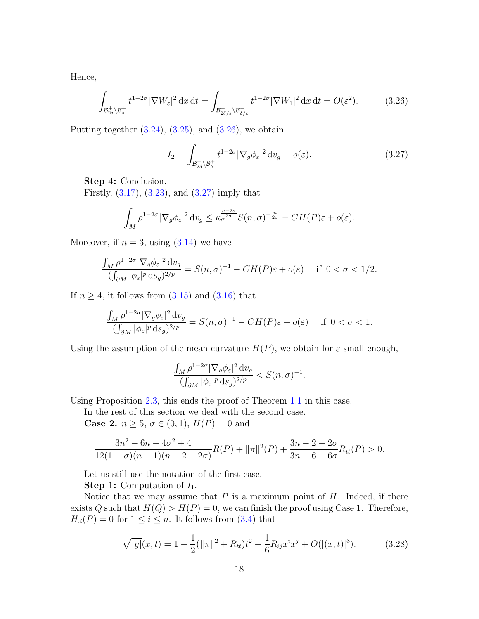Hence,

<span id="page-17-0"></span>
$$
\int_{\mathcal{B}_{2\delta}^+\backslash\mathcal{B}_{\delta}^+} t^{1-2\sigma} |\nabla W_{\varepsilon}|^2 \, \mathrm{d}x \, \mathrm{d}t = \int_{\mathcal{B}_{2\delta/\varepsilon}^+\backslash\mathcal{B}_{\delta/\varepsilon}^+} t^{1-2\sigma} |\nabla W_1|^2 \, \mathrm{d}x \, \mathrm{d}t = O(\varepsilon^2). \tag{3.26}
$$

Putting together  $(3.24)$ ,  $(3.25)$ , and  $(3.26)$ , we obtain

<span id="page-17-1"></span>
$$
I_2 = \int_{\mathcal{B}_{2\delta}^+\backslash \mathcal{B}_{\delta}^+} t^{1-2\sigma} |\nabla_g \phi_{\varepsilon}|^2 dv_g = o(\varepsilon). \tag{3.27}
$$

Step 4: Conclusion.

Firstly, [\(3.17\)](#page-14-0), [\(3.23\)](#page-16-4), and [\(3.27\)](#page-17-1) imply that

$$
\int_M \rho^{1-2\sigma} |\nabla_g \phi_\varepsilon|^2 dv_g \leq \kappa_\sigma^{\frac{n-2\sigma}{2\sigma}} S(n,\sigma)^{-\frac{n}{2\sigma}} - CH(P)\varepsilon + o(\varepsilon).
$$

Moreover, if  $n = 3$ , using  $(3.14)$  we have

$$
\frac{\int_M \rho^{1-2\sigma} |\nabla_g \phi_\varepsilon|^2 dv_g}{(\int_{\partial M} |\phi_\varepsilon|^p ds_g)^{2/p}} = S(n, \sigma)^{-1} - CH(P)\varepsilon + o(\varepsilon) \quad \text{if } 0 < \sigma < 1/2.
$$

If  $n \geq 4$ , it follows from  $(3.15)$  and  $(3.16)$  that

$$
\frac{\int_M \rho^{1-2\sigma} |\nabla_g \phi_\varepsilon|^2 dv_g}{(\int_{\partial M} |\phi_\varepsilon|^p ds_g)^{2/p}} = S(n, \sigma)^{-1} - CH(P)\varepsilon + o(\varepsilon) \quad \text{if } 0 < \sigma < 1.
$$

Using the assumption of the mean curvature  $H(P)$ , we obtain for  $\varepsilon$  small enough,

$$
\frac{\int_{M}\rho^{1-2\sigma}|\nabla_{g}\phi_{\varepsilon}|^{2}\,\mathrm{d}v_{g}}{(\int_{\partial M}|\phi_{\varepsilon}|^{p}\,\mathrm{d}s_{g})^{2/p}}
$$

Using Proposition [2.3,](#page-4-2) this ends the proof of Theorem [1.1](#page-2-1) in this case.

In the rest of this section we deal with the second case.

**Case 2.**  $n \ge 5$ ,  $\sigma \in (0,1)$ ,  $H(P) = 0$  and

$$
\frac{3n^2 - 6n - 4\sigma^2 + 4}{12(1 - \sigma)(n - 1)(n - 2 - 2\sigma)}\bar{R}(P) + \|\pi\|^2(P) + \frac{3n - 2 - 2\sigma}{3n - 6 - 6\sigma}R_{tt}(P) > 0.
$$

Let us still use the notation of the first case.

**Step 1:** Computation of  $I_1$ .

Notice that we may assume that  $P$  is a maximum point of  $H$ . Indeed, if there exists Q such that  $H(Q) > H(P) = 0$ , we can finish the proof using Case 1. Therefore,  $H_i(P) = 0$  for  $1 \leq i \leq n$ . It follows from [\(3.4\)](#page-10-0) that

<span id="page-17-2"></span>
$$
\sqrt{|g|}(x,t) = 1 - \frac{1}{2}(\|\pi\|^2 + R_{tt})t^2 - \frac{1}{6}\bar{R}_{ij}x^ix^j + O(|(x,t)|^3). \tag{3.28}
$$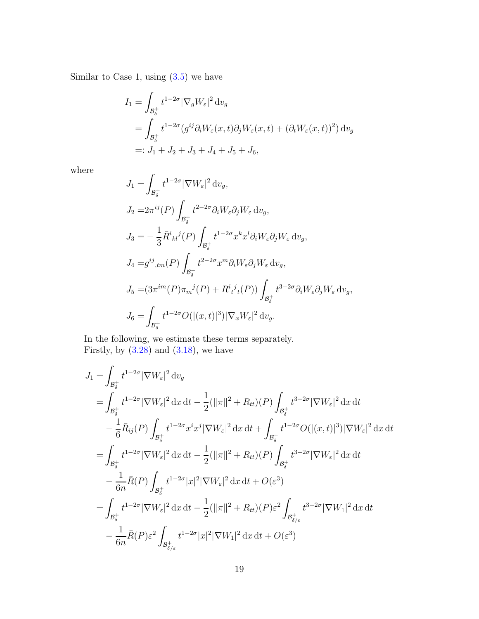Similar to Case 1, using [\(3.5\)](#page-10-2) we have

$$
I_1 = \int_{\mathcal{B}_{\delta}^+} t^{1-2\sigma} |\nabla_g W_{\varepsilon}|^2 dv_g
$$
  
= 
$$
\int_{\mathcal{B}_{\delta}^+} t^{1-2\sigma} (g^{ij} \partial_i W_{\varepsilon}(x, t) \partial_j W_{\varepsilon}(x, t) + (\partial_t W_{\varepsilon}(x, t))^2) dv_g
$$
  
=: 
$$
J_1 + J_2 + J_3 + J_4 + J_5 + J_6,
$$

where

$$
J_1 = \int_{\mathcal{B}_{\delta}^+} t^{1-2\sigma} |\nabla W_{\varepsilon}|^2 dv_g,
$$
  
\n
$$
J_2 = 2\pi^{ij}(P) \int_{\mathcal{B}_{\delta}^+} t^{2-2\sigma} \partial_i W_{\varepsilon} \partial_j W_{\varepsilon} dv_g,
$$
  
\n
$$
J_3 = -\frac{1}{3} \bar{R}^i{}_{kl}{}^j(P) \int_{\mathcal{B}_{\delta}^+} t^{1-2\sigma} x^k x^l \partial_i W_{\varepsilon} \partial_j W_{\varepsilon} dv_g,
$$
  
\n
$$
J_4 = g^{ij}{}_{,tm}(P) \int_{\mathcal{B}_{\delta}^+} t^{2-2\sigma} x^m \partial_i W_{\varepsilon} \partial_j W_{\varepsilon} dv_g,
$$
  
\n
$$
J_5 = (3\pi^{im}(P)\pi_m{}^j(P) + R^i{}_{t}{}^j{}_{t}(P)) \int_{\mathcal{B}_{\delta}^+} t^{3-2\sigma} \partial_i W_{\varepsilon} \partial_j W_{\varepsilon} dv_g,
$$
  
\n
$$
J_6 = \int_{\mathcal{B}_{\delta}^+} t^{1-2\sigma} O(|(x,t)|^3) |\nabla_x W_{\varepsilon}|^2 dv_g.
$$

In the following, we estimate these terms separately. Firstly, by  $(3.28)$  and  $(3.18)$ , we have

$$
J_{1} = \int_{\mathcal{B}_{\delta}^{+}} t^{1-2\sigma} |\nabla W_{\varepsilon}|^{2} dv_{g}
$$
  
\n
$$
= \int_{\mathcal{B}_{\delta}^{+}} t^{1-2\sigma} |\nabla W_{\varepsilon}|^{2} dx dt - \frac{1}{2} (||\pi||^{2} + R_{tt})(P) \int_{\mathcal{B}_{\delta}^{+}} t^{3-2\sigma} |\nabla W_{\varepsilon}|^{2} dx dt
$$
  
\n
$$
- \frac{1}{6} \bar{R}_{ij}(P) \int_{\mathcal{B}_{\delta}^{+}} t^{1-2\sigma} x^{i} x^{j} |\nabla W_{\varepsilon}|^{2} dx dt + \int_{\mathcal{B}_{\delta}^{+}} t^{1-2\sigma} O(|(x, t)|^{3}) |\nabla W_{\varepsilon}|^{2} dx dt
$$
  
\n
$$
= \int_{\mathcal{B}_{\delta}^{+}} t^{1-2\sigma} |\nabla W_{\varepsilon}|^{2} dx dt - \frac{1}{2} (||\pi||^{2} + R_{tt})(P) \int_{\mathcal{B}_{\delta}^{+}} t^{3-2\sigma} |\nabla W_{\varepsilon}|^{2} dx dt
$$
  
\n
$$
- \frac{1}{6n} \bar{R}(P) \int_{\mathcal{B}_{\delta}^{+}} t^{1-2\sigma} |x|^{2} |\nabla W_{\varepsilon}|^{2} dx dt + O(\varepsilon^{3})
$$
  
\n
$$
= \int_{\mathcal{B}_{\delta}^{+}} t^{1-2\sigma} |\nabla W_{\varepsilon}|^{2} dx dt - \frac{1}{2} (||\pi||^{2} + R_{tt})(P) \varepsilon^{2} \int_{\mathcal{B}_{\delta/\varepsilon}^{+}} t^{3-2\sigma} |\nabla W_{1}|^{2} dx dt
$$
  
\n
$$
- \frac{1}{6n} \bar{R}(P) \varepsilon^{2} \int_{\mathcal{B}_{\delta/\varepsilon}^{+}} t^{1-2\sigma} |x|^{2} |\nabla W_{1}|^{2} dx dt + O(\varepsilon^{3})
$$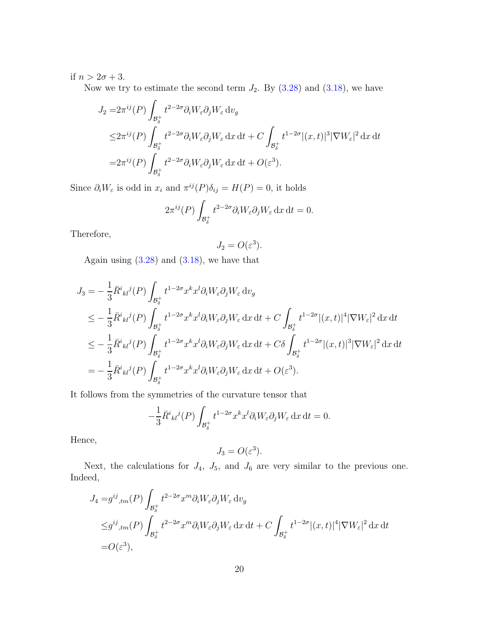if  $n > 2\sigma + 3$ .

Now we try to estimate the second term  $J_2$ . By  $(3.28)$  and  $(3.18)$ , we have

$$
J_2 = 2\pi^{ij}(P) \int_{\mathcal{B}_{\delta}^+} t^{2-2\sigma} \partial_i W_{\varepsilon} \partial_j W_{\varepsilon} \, dv_g
$$
  

$$
\leq 2\pi^{ij}(P) \int_{\mathcal{B}_{\delta}^+} t^{2-2\sigma} \partial_i W_{\varepsilon} \partial_j W_{\varepsilon} \, dx \, dt + C \int_{\mathcal{B}_{\delta}^+} t^{1-2\sigma} |(x,t)|^3 |\nabla W_{\varepsilon}|^2 \, dx \, dt
$$
  

$$
= 2\pi^{ij}(P) \int_{\mathcal{B}_{\delta}^+} t^{2-2\sigma} \partial_i W_{\varepsilon} \partial_j W_{\varepsilon} \, dx \, dt + O(\varepsilon^3).
$$

Since  $\partial_i W_{\varepsilon}$  is odd in  $x_i$  and  $\pi^{ij}(P)\delta_{ij} = H(P) = 0$ , it holds

$$
2\pi^{ij}(P)\int_{\mathcal{B}_{\delta}^+} t^{2-2\sigma} \partial_i W_{\varepsilon} \partial_j W_{\varepsilon} \,dx\,dt = 0.
$$

Therefore,

$$
J_2 = O(\varepsilon^3).
$$

Again using  $(3.28)$  and  $(3.18)$ , we have that

$$
J_3 = -\frac{1}{3} \bar{R}^i{}_{kl}{}^j(P) \int_{\mathcal{B}_\delta^+} t^{1-2\sigma} x^k x^l \partial_i W_\varepsilon \partial_j W_\varepsilon \, dv_g
$$
  
\n
$$
\leq -\frac{1}{3} \bar{R}^i{}_{kl}{}^j(P) \int_{\mathcal{B}_\delta^+} t^{1-2\sigma} x^k x^l \partial_i W_\varepsilon \partial_j W_\varepsilon \, dx \, dt + C \int_{\mathcal{B}_\delta^+} t^{1-2\sigma} |(x,t)|^4 |\nabla W_\varepsilon|^2 \, dx \, dt
$$
  
\n
$$
\leq -\frac{1}{3} \bar{R}^i{}_{kl}{}^j(P) \int_{\mathcal{B}_\delta^+} t^{1-2\sigma} x^k x^l \partial_i W_\varepsilon \partial_j W_\varepsilon \, dx \, dt + C \delta \int_{\mathcal{B}_\delta^+} t^{1-2\sigma} |(x,t)|^3 |\nabla W_\varepsilon|^2 \, dx \, dt
$$
  
\n
$$
= -\frac{1}{3} \bar{R}^i{}_{kl}{}^j(P) \int_{\mathcal{B}_\delta^+} t^{1-2\sigma} x^k x^l \partial_i W_\varepsilon \partial_j W_\varepsilon \, dx \, dt + O(\varepsilon^3).
$$

It follows from the symmetries of the curvature tensor that

−

$$
-\frac{1}{3}\bar{R}^{i}{}_{kl}{}^{j}(P)\int_{\mathcal{B}_{\delta}^{+}}t^{1-2\sigma}x^{k}x^{l}\partial_{i}W_{\varepsilon}\partial_{j}W_{\varepsilon}\,\mathrm{d}x\,\mathrm{d}t=0.
$$

Hence,

$$
J_3=O(\varepsilon^3).
$$

Next, the calculations for  $J_4$ ,  $J_5$ , and  $J_6$  are very similar to the previous one. Indeed,

$$
J_4 = g^{ij}{}_{,tm}(P) \int_{\mathcal{B}_\delta^+} t^{2-2\sigma} x^m \partial_i W_\varepsilon \partial_j W_\varepsilon \, dv_g
$$
  

$$
\leq g^{ij}{}_{,tm}(P) \int_{\mathcal{B}_\delta^+} t^{2-2\sigma} x^m \partial_i W_\varepsilon \partial_j W_\varepsilon \, dx \, dt + C \int_{\mathcal{B}_\delta^+} t^{1-2\sigma} |(x,t)|^4 |\nabla W_\varepsilon|^2 \, dx \, dt
$$
  

$$
= O(\varepsilon^3),
$$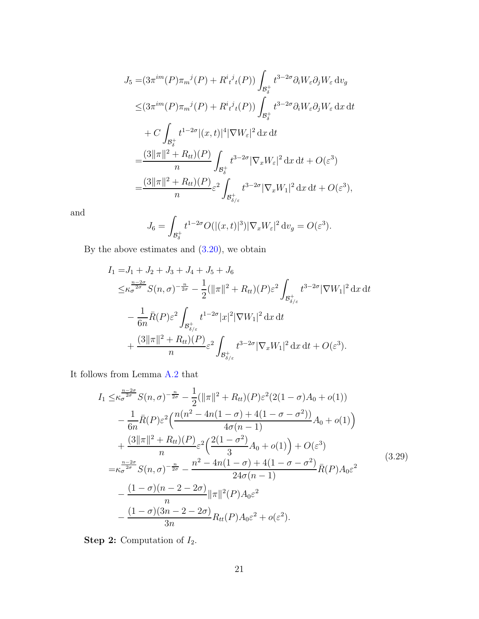$$
J_{5} = (3\pi^{im}(P)\pi_{m}{}^{j}(P) + R^{i}{}_{t}{}^{j}{}_{t}(P)) \int_{\mathcal{B}_{\delta}^{+}} t^{3-2\sigma} \partial_{i}W_{\varepsilon} \partial_{j}W_{\varepsilon} dv_{g}
$$
  
\n
$$
\leq (3\pi^{im}(P)\pi_{m}{}^{j}(P) + R^{i}{}_{t}{}^{j}{}_{t}(P)) \int_{\mathcal{B}_{\delta}^{+}} t^{3-2\sigma} \partial_{i}W_{\varepsilon} \partial_{j}W_{\varepsilon} dx dt
$$
  
\n
$$
+ C \int_{\mathcal{B}_{\delta}^{+}} t^{1-2\sigma}|(x,t)|^{4} |\nabla W_{\varepsilon}|^{2} dx dt
$$
  
\n
$$
= \frac{(3||\pi||^{2} + R_{tt})(P)}{n} \int_{\mathcal{B}_{\delta}^{+}} t^{3-2\sigma} |\nabla_{x}W_{\varepsilon}|^{2} dx dt + O(\varepsilon^{3})
$$
  
\n
$$
= \frac{(3||\pi||^{2} + R_{tt})(P)}{n} \varepsilon^{2} \int_{\mathcal{B}_{\delta/\varepsilon}^{+}} t^{3-2\sigma} |\nabla_{x}W_{1}|^{2} dx dt + O(\varepsilon^{3}),
$$

and

$$
J_6 = \int_{\mathcal{B}_\delta^+} t^{1-2\sigma} O(|(x,t)|^3) |\nabla_x W_\varepsilon|^2 dv_g = O(\varepsilon^3).
$$

By the above estimates and  $(3.20)$ , we obtain

$$
I_{1} = J_{1} + J_{2} + J_{3} + J_{4} + J_{5} + J_{6}
$$
  
\n
$$
\leq \kappa_{\sigma}^{\frac{n-2\sigma}{2\sigma}} S(n, \sigma)^{-\frac{n}{2\sigma}} - \frac{1}{2} (\|\pi\|^{2} + R_{tt})(P) \varepsilon^{2} \int_{\mathcal{B}^{+}_{\delta/\varepsilon}} t^{3-2\sigma} |\nabla W_{1}|^{2} dx dt
$$
  
\n
$$
- \frac{1}{6n} \bar{R}(P) \varepsilon^{2} \int_{\mathcal{B}^{+}_{\delta/\varepsilon}} t^{1-2\sigma} |x|^{2} |\nabla W_{1}|^{2} dx dt
$$
  
\n
$$
+ \frac{(3\|\pi\|^{2} + R_{tt})(P)}{n} \varepsilon^{2} \int_{\mathcal{B}^{+}_{\delta/\varepsilon}} t^{3-2\sigma} |\nabla_{x} W_{1}|^{2} dx dt + O(\varepsilon^{3}).
$$

It follows from Lemma [A.2](#page-23-1) that

<span id="page-20-0"></span>
$$
I_{1} \leq \kappa_{\sigma}^{\frac{n-2\sigma}{2\sigma}} S(n,\sigma)^{-\frac{n}{2\sigma}} - \frac{1}{2} (\|\pi\|^{2} + R_{tt})(P) \varepsilon^{2} (2(1-\sigma) A_{0} + o(1))
$$
  
\n
$$
- \frac{1}{6n} \bar{R}(P) \varepsilon^{2} \Big( \frac{n(n^{2} - 4n(1-\sigma) + 4(1-\sigma-\sigma^{2}))}{4\sigma(n-1)} A_{0} + o(1) \Big)
$$
  
\n
$$
+ \frac{(3\|\pi\|^{2} + R_{tt})(P)}{n} \varepsilon^{2} \Big( \frac{2(1-\sigma^{2})}{3} A_{0} + o(1) \Big) + O(\varepsilon^{3})
$$
  
\n
$$
= \kappa_{\sigma}^{\frac{n-2\sigma}{2\sigma}} S(n,\sigma)^{-\frac{n}{2\sigma}} - \frac{n^{2} - 4n(1-\sigma) + 4(1-\sigma-\sigma^{2})}{24\sigma(n-1)} \bar{R}(P) A_{0} \varepsilon^{2}
$$
  
\n
$$
- \frac{(1-\sigma)(n-2-2\sigma)}{n} \|\pi\|^{2}(P) A_{0} \varepsilon^{2}
$$
  
\n
$$
- \frac{(1-\sigma)(3n-2-2\sigma)}{3n} R_{tt}(P) A_{0} \varepsilon^{2} + o(\varepsilon^{2}).
$$
\n(3.29)

**Step 2:** Computation of  $I_2$ .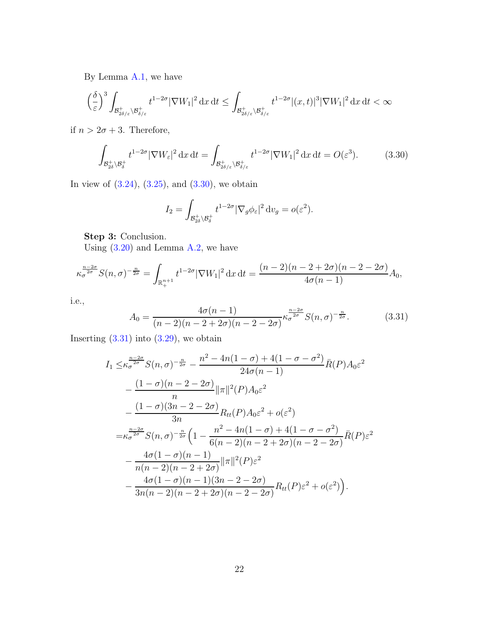By Lemma [A.1,](#page-23-0) we have

$$
\Big(\frac{\delta}{\varepsilon}\Big)^3 \int_{\mathcal{B}^+_{2\delta/\varepsilon}\backslash \mathcal{B}^+_{\delta/\varepsilon}} t^{1-2\sigma} |\nabla W_1|^2 \,\mathrm{d} x \,\mathrm{d} t \le \int_{\mathcal{B}^+_{2\delta/\varepsilon}\backslash \mathcal{B}^+_{\delta/\varepsilon}} t^{1-2\sigma} |(x,t)|^3 |\nabla W_1|^2 \,\mathrm{d} x \,\mathrm{d} t < \infty
$$

if  $n > 2\sigma + 3$ . Therefore,

<span id="page-21-0"></span>
$$
\int_{\mathcal{B}_{2\delta}^+\backslash\mathcal{B}_{\delta}^+} t^{1-2\sigma} |\nabla W_{\varepsilon}|^2 \, \mathrm{d}x \, \mathrm{d}t = \int_{\mathcal{B}_{2\delta/\varepsilon}^+\backslash\mathcal{B}_{\delta/\varepsilon}^+} t^{1-2\sigma} |\nabla W_1|^2 \, \mathrm{d}x \, \mathrm{d}t = O(\varepsilon^3). \tag{3.30}
$$

In view of  $(3.24)$ ,  $(3.25)$ , and  $(3.30)$ , we obtain

$$
I_2 = \int_{\mathcal{B}_{2\delta}^+\setminus\mathcal{B}_{\delta}^+} t^{1-2\sigma} |\nabla_g \phi_{\varepsilon}|^2 dv_g = o(\varepsilon^2).
$$

Step 3: Conclusion.

Using  $(3.20)$  and Lemma [A.2,](#page-23-1) we have

$$
\kappa_{\sigma}^{\frac{n-2\sigma}{2\sigma}} S(n,\sigma)^{-\frac{n}{2\sigma}} = \int_{\mathbb{R}^{n+1}_+} t^{1-2\sigma} |\nabla W_1|^2 \, \mathrm{d}x \, \mathrm{d}t = \frac{(n-2)(n-2+2\sigma)(n-2-2\sigma)}{4\sigma(n-1)} A_0,
$$

i.e.,

<span id="page-21-1"></span>
$$
A_0 = \frac{4\sigma(n-1)}{(n-2)(n-2+2\sigma)(n-2-2\sigma)} \kappa_{\sigma}^{\frac{n-2\sigma}{2\sigma}} S(n,\sigma)^{-\frac{n}{2\sigma}}.
$$
 (3.31)

Inserting  $(3.31)$  into  $(3.29)$ , we obtain

$$
I_{1} \leq \kappa_{\sigma}^{\frac{n-2\sigma}{2\sigma}} S(n,\sigma)^{-\frac{n}{2\sigma}} - \frac{n^{2} - 4n(1-\sigma) + 4(1-\sigma-\sigma^{2})}{24\sigma(n-1)} \bar{R}(P) A_{0} \varepsilon^{2}
$$
  

$$
- \frac{(1-\sigma)(n-2-2\sigma)}{n} ||\pi||^{2}(P) A_{0} \varepsilon^{2}
$$
  

$$
- \frac{(1-\sigma)(3n-2-2\sigma)}{3n} R_{tt}(P) A_{0} \varepsilon^{2} + o(\varepsilon^{2})
$$
  

$$
= \kappa_{\sigma}^{\frac{n-2\sigma}{2\sigma}} S(n,\sigma)^{-\frac{n}{2\sigma}} \Big( 1 - \frac{n^{2} - 4n(1-\sigma) + 4(1-\sigma-\sigma^{2})}{6(n-2)(n-2+2\sigma)(n-2-2\sigma)} \bar{R}(P) \varepsilon^{2}
$$
  

$$
- \frac{4\sigma(1-\sigma)(n-1)}{n(n-2)(n-2+2\sigma)} ||\pi||^{2}(P) \varepsilon^{2}
$$
  

$$
- \frac{4\sigma(1-\sigma)(n-1)(3n-2-2\sigma)}{3n(n-2)(n-2+2\sigma)(n-2-2\sigma)} R_{tt}(P) \varepsilon^{2} + o(\varepsilon^{2}).
$$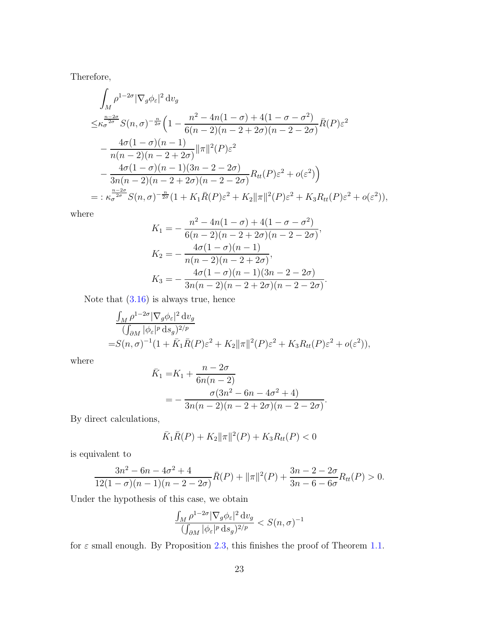Therefore,

$$
\int_{M} \rho^{1-2\sigma} |\nabla_{g} \phi_{\varepsilon}|^{2} dv_{g}
$$
\n
$$
\leq \kappa_{\sigma}^{\frac{n-2\sigma}{2\sigma}} S(n,\sigma)^{-\frac{n}{2\sigma}} \Big( 1 - \frac{n^{2} - 4n(1-\sigma) + 4(1-\sigma-\sigma^{2})}{6(n-2)(n-2+2\sigma)(n-2-2\sigma)} \bar{R}(P) \varepsilon^{2}
$$
\n
$$
- \frac{4\sigma(1-\sigma)(n-1)}{n(n-2)(n-2+2\sigma)} ||\pi||^{2}(P) \varepsilon^{2}
$$
\n
$$
- \frac{4\sigma(1-\sigma)(n-1)(3n-2-2\sigma)}{3n(n-2)(n-2+2\sigma)(n-2-2\sigma)} R_{tt}(P) \varepsilon^{2} + o(\varepsilon^{2}) \Big)
$$
\n
$$
= : \kappa_{\sigma}^{\frac{n-2\sigma}{2\sigma}} S(n,\sigma)^{-\frac{n}{2\sigma}} (1 + K_{1} \bar{R}(P) \varepsilon^{2} + K_{2} ||\pi||^{2}(P) \varepsilon^{2} + K_{3} R_{tt}(P) \varepsilon^{2} + o(\varepsilon^{2})),
$$

where

$$
K_1 = -\frac{n^2 - 4n(1 - \sigma) + 4(1 - \sigma - \sigma^2)}{6(n - 2)(n - 2 + 2\sigma)(n - 2 - 2\sigma)},
$$
  
\n
$$
K_2 = -\frac{4\sigma(1 - \sigma)(n - 1)}{n(n - 2)(n - 2 + 2\sigma)},
$$
  
\n
$$
K_3 = -\frac{4\sigma(1 - \sigma)(n - 1)(3n - 2 - 2\sigma)}{3n(n - 2)(n - 2 + 2\sigma)(n - 2 - 2\sigma)}.
$$

Note that  $(3.16)$  is always true, hence

$$
\frac{\int_M \rho^{1-2\sigma} |\nabla_g \phi_\varepsilon|^2 dv_g}{(\int_{\partial M} |\phi_\varepsilon|^p ds_g)^{2/p}} \n= S(n, \sigma)^{-1} (1 + \bar{K}_1 \bar{R}(P) \varepsilon^2 + K_2 ||\pi||^2 (P) \varepsilon^2 + K_3 R_{tt}(P) \varepsilon^2 + o(\varepsilon^2)),
$$

where

$$
\bar{K}_1 = K_1 + \frac{n - 2\sigma}{6n(n - 2)} \n= -\frac{\sigma(3n^2 - 6n - 4\sigma^2 + 4)}{3n(n - 2)(n - 2 + 2\sigma)(n - 2 - 2\sigma)}.
$$

By direct calculations,

$$
\bar{K}_1 \bar{R}(P) + K_2 \|\pi\|^2(P) + K_3 R_{tt}(P) < 0
$$

is equivalent to

$$
\frac{3n^2 - 6n - 4\sigma^2 + 4}{12(1 - \sigma)(n - 1)(n - 2 - 2\sigma)}\bar{R}(P) + ||\pi||^2(P) + \frac{3n - 2 - 2\sigma}{3n - 6 - 6\sigma}R_{tt}(P) > 0.
$$

Under the hypothesis of this case, we obtain

$$
\frac{\int_{M}\rho^{1-2\sigma}|\nabla_{g}\phi_{\varepsilon}|^{2}\,\mathrm{d}v_{g}}{(\int_{\partial M}|\phi_{\varepsilon}|^{p}\,\mathrm{d}s_{g})^{2/p}}
$$

for  $\varepsilon$  small enough. By Proposition [2.3,](#page-4-2) this finishes the proof of Theorem [1.1.](#page-2-1)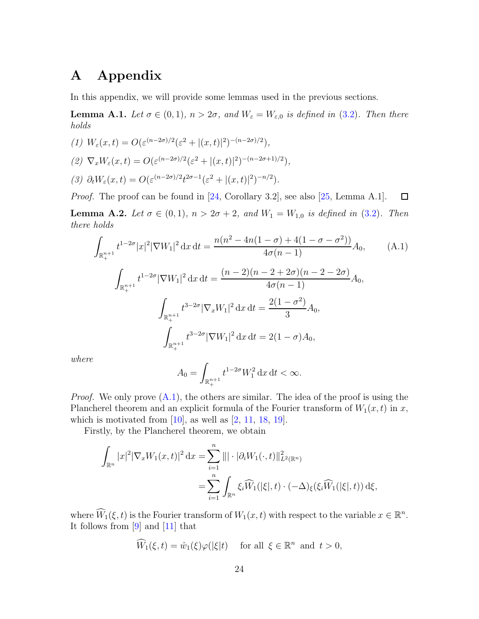## A Appendix

In this appendix, we will provide some lemmas used in the previous sections.

<span id="page-23-0"></span>**Lemma A.1.** Let  $\sigma \in (0, 1)$ ,  $n > 2\sigma$ , and  $W_{\varepsilon} = W_{\varepsilon, 0}$  is defined in [\(3.2\)](#page-10-3). Then there *holds*

$$
(1) \ W_{\varepsilon}(x,t) = O(\varepsilon^{(n-2\sigma)/2}(\varepsilon^2 + |(x,t)|^2)^{-(n-2\sigma)/2}),
$$
  
\n
$$
(2) \ \nabla_x W_{\varepsilon}(x,t) = O(\varepsilon^{(n-2\sigma)/2}(\varepsilon^2 + |(x,t)|^2)^{-(n-2\sigma+1)/2}),
$$
  
\n
$$
(3) \ \partial_t W_{\varepsilon}(x,t) = O(\varepsilon^{(n-2\sigma)/2}t^{2\sigma-1}(\varepsilon^2 + |(x,t)|^2)^{-n/2}).
$$

*Proof.* The proof can be found in [\[24,](#page-27-10) Corollary 3.2], see also [\[25,](#page-27-11) Lemma A.1].  $\Box$ 

<span id="page-23-1"></span>**Lemma A.2.** Let  $\sigma \in (0,1)$ ,  $n > 2\sigma + 2$ , and  $W_1 = W_{1,0}$  is defined in [\(3.2\)](#page-10-3). Then *there holds*

<span id="page-23-2"></span>
$$
\int_{\mathbb{R}_{+}^{n+1}} t^{1-2\sigma} |x|^2 |\nabla W_1|^2 \, dx \, dt = \frac{n(n^2 - 4n(1-\sigma) + 4(1-\sigma-\sigma^2))}{4\sigma(n-1)} A_0, \qquad (A.1)
$$
\n
$$
\int_{\mathbb{R}_{+}^{n+1}} t^{1-2\sigma} |\nabla W_1|^2 \, dx \, dt = \frac{(n-2)(n-2+2\sigma)(n-2-2\sigma)}{4\sigma(n-1)} A_0,
$$
\n
$$
\int_{\mathbb{R}_{+}^{n+1}} t^{3-2\sigma} |\nabla_x W_1|^2 \, dx \, dt = \frac{2(1-\sigma^2)}{3} A_0,
$$
\n
$$
\int_{\mathbb{R}_{+}^{n+1}} t^{3-2\sigma} |\nabla W_1|^2 \, dx \, dt = 2(1-\sigma) A_0,
$$
\n(A.1)

*where*

$$
A_0 = \int_{\mathbb{R}^{n+1}_+} t^{1-2\sigma} W_1^2 \, \mathrm{d}x \, \mathrm{d}t < \infty.
$$

*Proof.* We only prove  $(A.1)$ , the others are similar. The idea of the proof is using the Plancherel theorem and an explicit formula of the Fourier transform of  $W_1(x, t)$  in x, which is motivated from  $[10]$ , as well as  $[2, 11, 18, 19]$  $[2, 11, 18, 19]$  $[2, 11, 18, 19]$  $[2, 11, 18, 19]$  $[2, 11, 18, 19]$  $[2, 11, 18, 19]$ .

Firstly, by the Plancherel theorem, we obtain

$$
\int_{\mathbb{R}^n} |x|^2 |\nabla_x W_1(x,t)|^2 dx = \sum_{i=1}^n ||| \cdot |\partial_i W_1(\cdot,t)||^2_{L^2(\mathbb{R}^n)}
$$
  
= 
$$
\sum_{i=1}^n \int_{\mathbb{R}^n} \xi_i \widehat{W}_1(|\xi|,t) \cdot (-\Delta)_{\xi} (\xi_i \widehat{W}_1(|\xi|,t)) d\xi,
$$

where  $\widehat{W}_1(\xi, t)$  is the Fourier transform of  $W_1(x, t)$  with respect to the variable  $x \in \mathbb{R}^n$ . It follows from [\[9\]](#page-26-14) and [\[11\]](#page-26-10) that

$$
\widehat{W}_1(\xi, t) = \hat{w}_1(\xi)\varphi(|\xi|t) \quad \text{ for all } \xi \in \mathbb{R}^n \text{ and } t > 0,
$$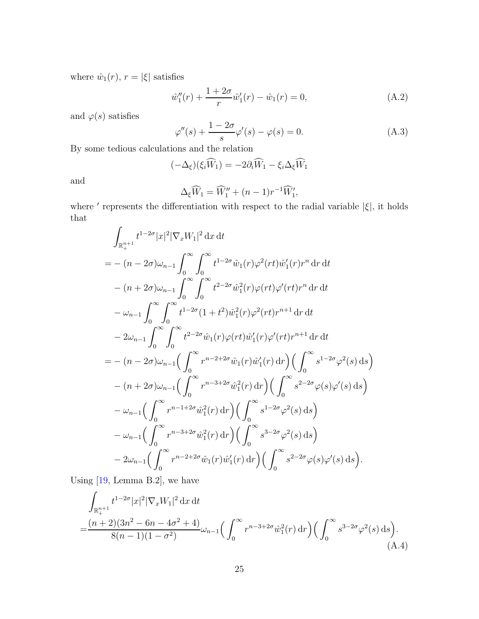where  $\hat{w}_1(r),$   $r=|\xi|$  satisfies

<span id="page-24-0"></span>
$$
\hat{w}_1''(r) + \frac{1+2\sigma}{r}\hat{w}_1'(r) - \hat{w}_1(r) = 0,
$$
\n(A.2)

and  $\varphi(s)$  satisfies

<span id="page-24-1"></span>
$$
\varphi''(s) + \frac{1 - 2\sigma}{s}\varphi'(s) - \varphi(s) = 0.
$$
\n(A.3)

By some tedious calculations and the relation

$$
(-\Delta_{\xi})(\xi_i\widehat{W}_1) = -2\partial_i\widehat{W}_1 - \xi_i\Delta_{\xi}\widehat{W}_1
$$

and

$$
\Delta_{\xi}\widehat{W}_1 = \widehat{W}_1'' + (n-1)r^{-1}\widehat{W}_1',
$$

where ' represents the differentiation with respect to the radial variable  $|\xi|$ , it holds that

$$
\int_{\mathbb{R}_{+}^{n+1}} t^{1-2\sigma} |x|^2 |\nabla_x W_1|^2 \, dx \, dt
$$
\n
$$
= -(n-2\sigma)\omega_{n-1} \int_0^\infty \int_0^\infty t^{1-2\sigma} \hat{w}_1(r) \varphi^2(rt) \hat{w}_1'(r) r^n \, dr \, dt
$$
\n
$$
- (n+2\sigma)\omega_{n-1} \int_0^\infty \int_0^\infty t^{2-2\sigma} \hat{w}_1^2(r) \varphi(rt) \varphi'(rt) r^n \, dr \, dt
$$
\n
$$
- \omega_{n-1} \int_0^\infty \int_0^\infty t^{1-2\sigma} (1+t^2) \hat{w}_1^2(r) \varphi^2(rt) r^{n+1} \, dr \, dt
$$
\n
$$
- 2\omega_{n-1} \int_0^\infty \int_0^\infty t^{2-2\sigma} \hat{w}_1(r) \varphi(rt) \hat{w}_1'(r) \varphi'(rt) r^{n+1} \, dr \, dt
$$
\n
$$
= -(n-2\sigma)\omega_{n-1} \Big( \int_0^\infty r^{n-2+2\sigma} \hat{w}_1(r) \hat{w}_1'(r) \, dr \Big) \Big( \int_0^\infty s^{1-2\sigma} \varphi^2(s) \, ds \Big)
$$
\n
$$
- (n+2\sigma)\omega_{n-1} \Big( \int_0^\infty r^{n-3+2\sigma} \hat{w}_1^2(r) \, dr \Big) \Big( \int_0^\infty s^{2-2\sigma} \varphi(s) \varphi'(s) \, ds \Big)
$$
\n
$$
- \omega_{n-1} \Big( \int_0^\infty r^{n-1+2\sigma} \hat{w}_1^2(r) \, dr \Big) \Big( \int_0^\infty s^{1-2\sigma} \varphi^2(s) \, ds \Big)
$$
\n
$$
- \omega_{n-1} \Big( \int_0^\infty r^{n-3+2\sigma} \hat{w}_1^2(r) \, dr \Big) \Big( \int_0^\infty s^{3-2\sigma} \varphi^2(s) \, ds \Big)
$$
\n
$$
- 2\omega_{n-1} \Big( \int_0^\infty r^{n-2+2\sigma} \hat{w}_1(r
$$

Using [\[19,](#page-27-8) Lemma B.2], we have

<span id="page-24-2"></span>
$$
\int_{\mathbb{R}^{n+1}_+} t^{1-2\sigma} |x|^2 |\nabla_x W_1|^2 \, \mathrm{d}x \, \mathrm{d}t \n= \frac{(n+2)(3n^2 - 6n - 4\sigma^2 + 4)}{8(n-1)(1-\sigma^2)} \omega_{n-1} \Big( \int_0^\infty r^{n-3+2\sigma} \hat{w}_1^2(r) \, \mathrm{d}r \Big) \Big( \int_0^\infty s^{3-2\sigma} \varphi^2(s) \, \mathrm{d}s \Big).
$$
\n(A.4)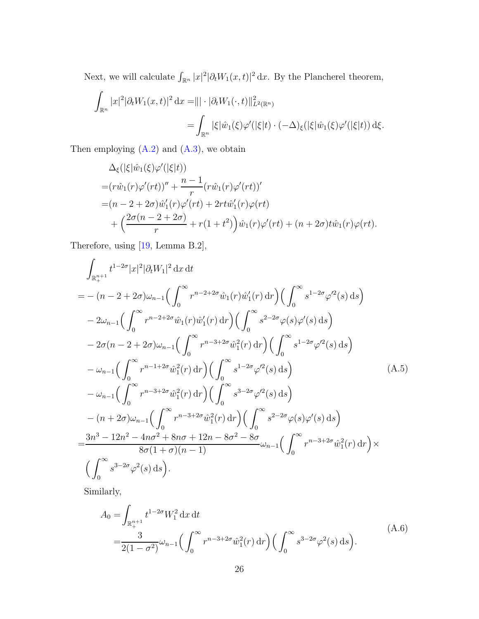Next, we will calculate  $\int_{\mathbb{R}^n} |x|^2 |\partial_t W_1(x,t)|^2 dx$ . By the Plancherel theorem,

$$
\int_{\mathbb{R}^n} |x|^2 |\partial_t W_1(x,t)|^2 dx = ||| \cdot |\partial_t W_1(\cdot,t)||^2_{L^2(\mathbb{R}^n)}
$$
  
= 
$$
\int_{\mathbb{R}^n} |\xi| \hat{w}_1(\xi) \varphi'(|\xi|t) \cdot (-\Delta)_{\xi} (|\xi| \hat{w}_1(\xi) \varphi'(|\xi|t)) d\xi.
$$

Then employing  $(A.2)$  and  $(A.3)$ , we obtain

$$
\Delta_{\xi}(|\xi|\hat{w}_{1}(\xi)\varphi'(|\xi|t))
$$
\n
$$
= (r\hat{w}_{1}(r)\varphi'(rt))'' + \frac{n-1}{r}(r\hat{w}_{1}(r)\varphi'(rt))'
$$
\n
$$
= (n-2+2\sigma)\hat{w}'_{1}(r)\varphi'(rt) + 2rt\hat{w}'_{1}(r)\varphi(rt)
$$
\n
$$
+ \left(\frac{2\sigma(n-2+2\sigma)}{r} + r(1+t^{2})\right)\hat{w}_{1}(r)\varphi'(rt) + (n+2\sigma)t\hat{w}_{1}(r)\varphi(rt).
$$

Therefore, using [\[19,](#page-27-8) Lemma B.2],

<span id="page-25-0"></span>
$$
\int_{\mathbb{R}_{+}^{n+1}} t^{1-2\sigma} |x|^2 |\partial_t W_1|^2 \, dx \, dt
$$
\n
$$
= -(n-2+2\sigma)\omega_{n-1} \Big( \int_0^{\infty} r^{n-2+2\sigma} \hat{w}_1(r) \hat{w}_1'(r) \, dr \Big) \Big( \int_0^{\infty} s^{1-2\sigma} \varphi'^2(s) \, ds \Big)
$$
\n
$$
-2\omega_{n-1} \Big( \int_0^{\infty} r^{n-2+2\sigma} \hat{w}_1(r) \hat{w}_1'(r) \, dr \Big) \Big( \int_0^{\infty} s^{2-2\sigma} \varphi(s) \varphi'(s) \, ds \Big)
$$
\n
$$
-2\sigma(n-2+2\sigma)\omega_{n-1} \Big( \int_0^{\infty} r^{n-3+2\sigma} \hat{w}_1^2(r) \, dr \Big) \Big( \int_0^{\infty} s^{1-2\sigma} \varphi'^2(s) \, ds \Big)
$$
\n
$$
-\omega_{n-1} \Big( \int_0^{\infty} r^{n-1+2\sigma} \hat{w}_1^2(r) \, dr \Big) \Big( \int_0^{\infty} s^{1-2\sigma} \varphi'^2(s) \, ds \Big)
$$
\n
$$
-\omega_{n-1} \Big( \int_0^{\infty} r^{n-3+2\sigma} \hat{w}_1^2(r) \, dr \Big) \Big( \int_0^{\infty} s^{3-2\sigma} \varphi'^2(s) \, ds \Big)
$$
\n
$$
-(n+2\sigma)\omega_{n-1} \Big( \int_0^{\infty} r^{n-3+2\sigma} \hat{w}_1^2(r) \, dr \Big) \Big( \int_0^{\infty} s^{2-2\sigma} \varphi(s) \varphi'(s) \, ds \Big)
$$
\n
$$
= \frac{3n^3 - 12n^2 - 4n\sigma^2 + 8n\sigma + 12n - 8\sigma^2 - 8\sigma}{8\sigma(1+\sigma)(n-1)} \omega_{n-1} \Big( \int_0^{\infty} r^{n-3+2\sigma} \hat{w}_1^2(r) \, dr \Big) \times
$$
\n
$$
\Big( \int_0^{\infty} s^{3-2\sigma} \
$$

Similarly,

<span id="page-25-1"></span>
$$
A_0 = \int_{\mathbb{R}^{n+1}_+} t^{1-2\sigma} W_1^2 \, \mathrm{d}x \, \mathrm{d}t
$$
  
= 
$$
\frac{3}{2(1-\sigma^2)} \omega_{n-1} \Big( \int_0^\infty r^{n-3+2\sigma} \hat{w}_1^2(r) \, \mathrm{d}r \Big) \Big( \int_0^\infty s^{3-2\sigma} \varphi^2(s) \, \mathrm{d}s \Big).
$$
 (A.6)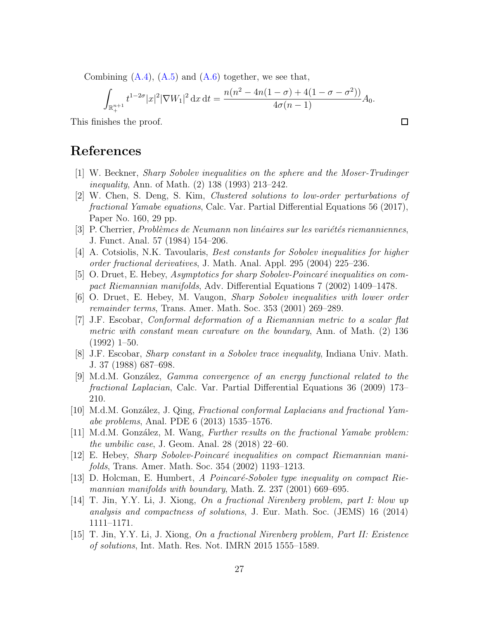Combining  $(A.4)$ ,  $(A.5)$  and  $(A.6)$  together, we see that,

$$
\int_{\mathbb{R}^{n+1}_+} t^{1-2\sigma} |x|^2 |\nabla W_1|^2 \, \mathrm{d}x \, \mathrm{d}t = \frac{n(n^2 - 4n(1-\sigma) + 4(1-\sigma-\sigma^2))}{4\sigma(n-1)} A_0.
$$

 $\Box$ 

This finishes the proof.

### <span id="page-26-1"></span>References

- <span id="page-26-13"></span>[1] W. Beckner, *Sharp Sobolev inequalities on the sphere and the Moser-Trudinger inequality*, Ann. of Math. (2) 138 (1993) 213–242.
- [2] W. Chen, S. Deng, S. Kim, *Clustered solutions to low-order perturbations of fractional Yamabe equations*, Calc. Var. Partial Differential Equations 56 (2017), Paper No. 160, 29 pp.
- <span id="page-26-11"></span><span id="page-26-6"></span>[3] P. Cherrier, *Problèmes de Neumann non linéaires sur les variétés riemanniennes*, J. Funct. Anal. 57 (1984) 154–206.
- <span id="page-26-5"></span>[4] A. Cotsiolis, N.K. Tavoularis, *Best constants for Sobolev inequalities for higher order fractional derivatives*, J. Math. Anal. Appl. 295 (2004) 225–236.
- <span id="page-26-3"></span>[5] O. Druet, E. Hebey, *Asymptotics for sharp Sobolev-Poincaré inequalities on compact Riemannian manifolds*, Adv. Differential Equations 7 (2002) 1409–1478.
- <span id="page-26-12"></span>[6] O. Druet, E. Hebey, M. Vaugon, *Sharp Sobolev inequalities with lower order remainder terms*, Trans. Amer. Math. Soc. 353 (2001) 269–289.
- [7] J.F. Escobar, *Conformal deformation of a Riemannian metric to a scalar flat metric with constant mean curvature on the boundary*, Ann. of Math. (2) 136 (1992) 1–50.
- <span id="page-26-0"></span>[8] J.F. Escobar, *Sharp constant in a Sobolev trace inequality*, Indiana Univ. Math. J. 37 (1988) 687–698.
- <span id="page-26-14"></span>[9] M.d.M. Gonz´alez, *Gamma convergence of an energy functional related to the fractional Laplacian*, Calc. Var. Partial Differential Equations 36 (2009) 173– 210.
- <span id="page-26-9"></span>[10] M.d.M. Gonz´alez, J. Qing, *Fractional conformal Laplacians and fractional Yamabe problems*, Anal. PDE 6 (2013) 1535–1576.
- <span id="page-26-10"></span>[11] M.d.M. Gonz´alez, M. Wang, *Further results on the fractional Yamabe problem: the umbilic case*, J. Geom. Anal. 28 (2018) 22–60.
- <span id="page-26-4"></span>[12] E. Hebey, *Sharp Sobolev-Poincaré inequalities on compact Riemannian manifolds*, Trans. Amer. Math. Soc. 354 (2002) 1193–1213.
- <span id="page-26-2"></span>[13] D. Holcman, E. Humbert, *A Poincaré-Sobolev type inequality on compact Riemannian manifolds with boundary*, Math. Z. 237 (2001) 669–695.
- <span id="page-26-7"></span>[14] T. Jin, Y.Y. Li, J. Xiong, *On a fractional Nirenberg problem, part I: blow up analysis and compactness of solutions*, J. Eur. Math. Soc. (JEMS) 16 (2014) 1111–1171.
- <span id="page-26-8"></span>[15] T. Jin, Y.Y. Li, J. Xiong, *On a fractional Nirenberg problem, Part II: Existence of solutions*, Int. Math. Res. Not. IMRN 2015 1555–1589.